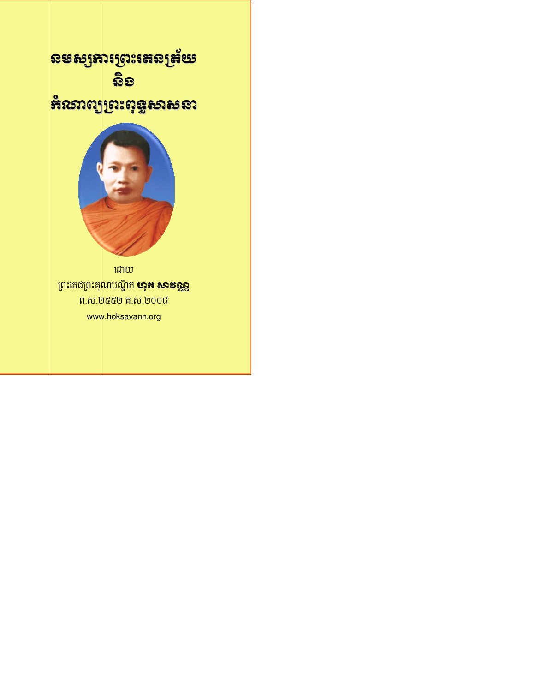# ឧទស្សឆារព្រះ៖តល្ងន័យ <u> ନିତ</u>

# និរសាល្យព្រះពុទ្ធសាសនា



ដោយ ព្រះតេជព្រះគុណបណ្ឌិត **មាុ<del>គ</del> សាទរុ<u>ឆ្</u>ឆ** ព.ស.២៥៥២ គ.ស.២០០៨ www.hoksavann.org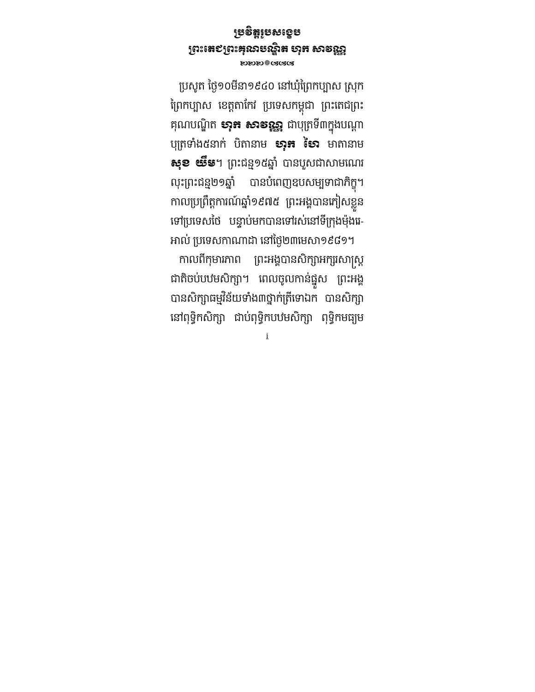#### ្របវិត្តរបសេង ូ ខប ព្រះតេ៩ព្រះឝុរោមស្និត ហុក សាទស្ណ BEER SARA

ប្រសូត ថ្ងៃ១០មីនា១៩៤០ នៅឃុំព្រៃកប្បាស ស្រុក ព្រែកប្បាស ខេត្តតាកេរ ប្រទេសកម្ពុជា ព្រះតេជព្រះ គុណបណ្ឌុត **សុភ សាទន្ទន្ទ** ជាបុត្រទ៣ក្នុងបណ្តា បុត្រទាង៥នាក បតានាម **មាុ<del>ន</del> មេរ** មាតានាម **សុខ យឹម**។ ព្រះជន្ម១៥ឆ្នាំ បានបួសជាសាមណេរ លុះព្រះជន្ម២១ឆ្នាំ បានបំពេញឧបសម្បទាជាភិក្ខុ។ លុះព្រះជន្ម២១ឆ្នា បានបពេញឧបសម្បមាជាភក្ខុ។<br>កាលប្រព្រឹត្តការណ៍ឆ្នាំ១៩៧៥ ព្រះអង្គបានភៀសខ្លួន ទៅប្រទេសថៃ បន្ទាប់មកបានទៅរស់នៅទីក្រុងម៉ុងរេ-អាល់ ប្រទេសកាណាដា នៅថ្ងៃ២៣មេសា១៩៨១។

–កាលពកុមារភាព ព្រះអង្គបានសក្សាអក្សរសាស្ត្រ ជាតិចបបឋមសិក្សា។ ពេលចូលកានផ្នួស ព្រះអង្គ បានសិក្សាធម្មវិនយទាង៣ថ្នាក់ត្រីទោឯក បានសិក្សា នោពុទ្ធកសក្សា ជាបពុទ្ធកបបមសក្សា ពុទ្ធកមធ្យម

i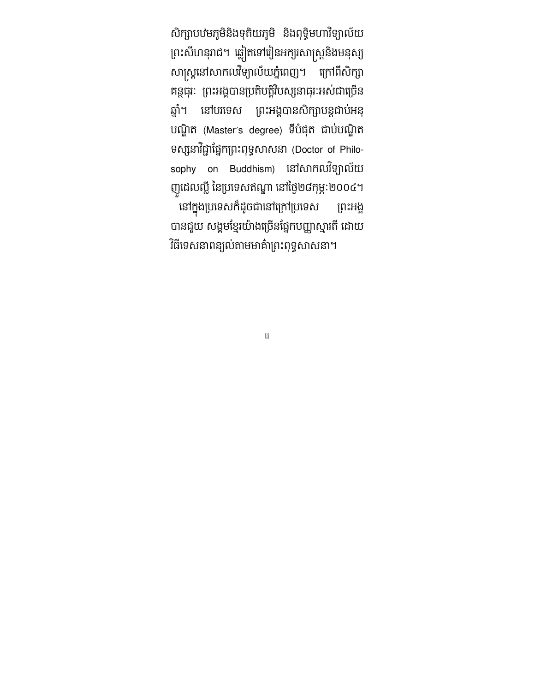សិក្សាបឋមភូមិនិងទុតិយភូមិ និងពុទ្ធមហារីឡាលេយិ ព្រះសហនុរាជ។ ឆ្លៀតទោរៀនអក្សរសាស្ត្រនងមនុស្ស សាស្រ្តនោសាកលវទ្យាលយភ្នពេញ។ ក្រោពសក្សា គន្ថធុរៈ ព្រះអង្គបានប្រតបត្តរបស្សនាធុរៈអស់ជាច្រេន ឆ្នា។ នោបរទេស ព្រះអង្គបានសក្សាបន្តជាបអនុ បណ្ឌិត (Master's degree) ទីបំផុត ជាប់បណ្ឌិត ទស្សនាវិជ្ជាផ្នែកព្រះពុទ្ធសាសនា (Doctor of Philosophy on Buddhism) នៅសាកលវិទ្យាល័យ ញូដេលល្ល នេប្រទេសឥណ្ឌា នោថ្ងេ២៨កុម្ភៈ២០០៤។ នោក្នុងប្រទេសកដូចជានោក្រោប្រទេស ព្រះអង្គ បានជួយ សង្គមខ្មេរយាងច្រេនផ្នេកបញ្ញាស្មារត ដោយ វិធីទេសនាពន្យល់តាមមាគ៌ាព្រះពុទ្ធសាសនា។

ii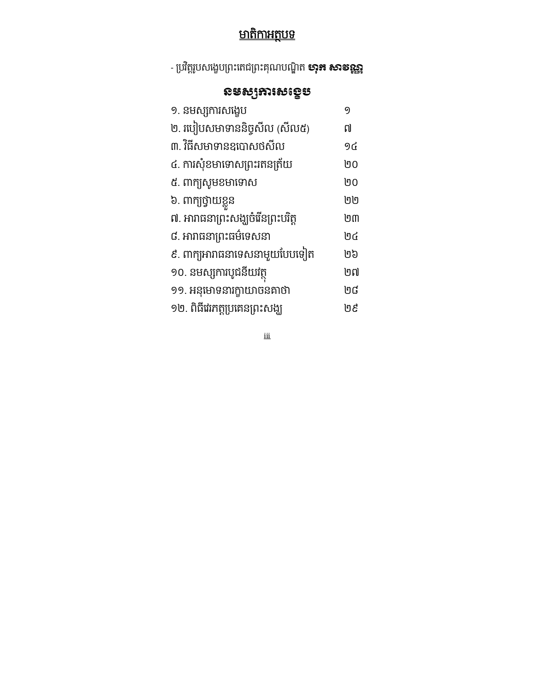# <u>មាតិកាអត្ថបទ</u>

- ប្រវត្តរូបសង្ខេបព្រះតេជព្រះគុណបណ្ឌុត **សុភ សាទណ្ណ** 

### នមសƞករសេងខប

| 9  |
|----|
| ៧  |
| 9៤ |
| ២០ |
| ២០ |
| ២២ |
| ២៣ |
| ២៤ |
| ២៦ |
| ២៧ |
| ២៨ |
| ២៩ |
|    |

iii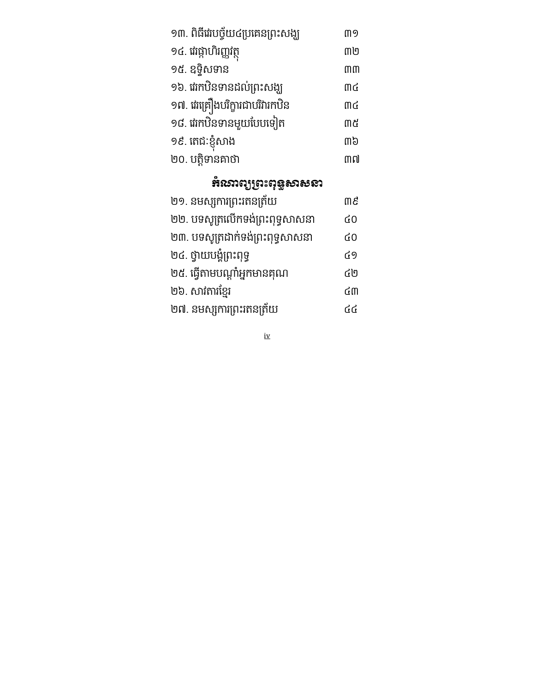| ១៣. ពិធីវេរបច្ច័យ៤ប្រគេនព្រះសង្ឃ | ጠ9 |
|----------------------------------|----|
| ១៤. រេវផ្កាហិរញ្ញវត្ថ            | ៣២ |
| ១៥. ឧទ្ទិសទាន                    | mm |
| ១៦. វេរកឋិនទានដល់ព្រះសង្ឃ        | ጠ៤ |
| ១៧. ផរគ្រឿងបរិក្ខារជាបរិវារកឋិន  | ጠ៤ |
| ១៨. ផរកឋិនទានមួយបែបទៀត           | ៣៥ |
| ១៩. តេជៈខ្ញុំសាង                 | ო៦ |
| ២០. បត្តិទានគាថា                 | ៣៧ |
|                                  |    |

# គំរសាល្យព្រះពុទ្ធសាសនា

| ២១. នមស្សការព្រះរតនត្រ័យ         | m g |
|----------------------------------|-----|
| ២២. បទសូត្រលើកទង់ព្រះពុទ្ធសាសនា  | 60  |
| ២៣. បទសូត្រដាក់ទង់ព្រះពុទ្ធសាសនា | 60  |
| ២៤. ថ្វាយបង្ខំព្រះពុទ្ធ          | ៤9  |
| ២៥. ធ្វើតាមបណ្តាំអ្នកមានគុណ      | ៤២  |
| ២៦. សាវតារខ្មែរ                  | ርሠ  |
| ២៧. នមស្សការព្រះរតនត្រ័យ         | ርር  |

iv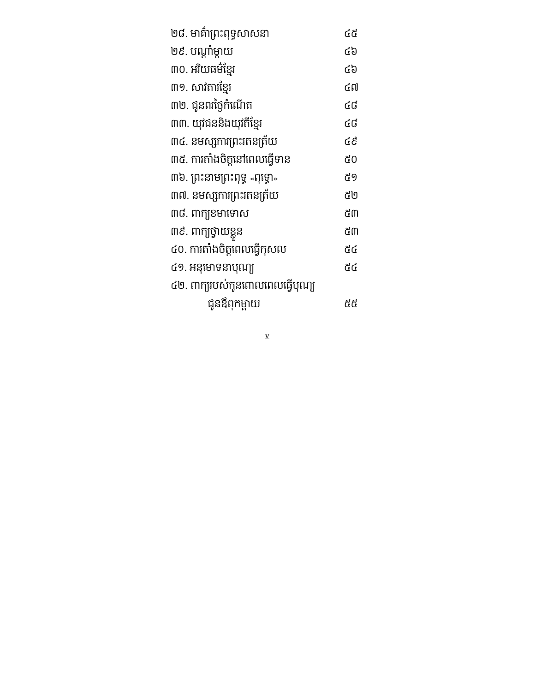| ២៨. មាគ៌ាព្រះពុទ្ធសាសនា         | હેર્લ |
|---------------------------------|-------|
| ២៩. បណ្តាំម្តាយ                 | ርያ    |
| ៣០. អរិយធម៌ខ្មែរ                | ርያ    |
| ៣១. សាវតារខ្មែរ                 | ៤៧    |
| ៣២. ជូនពរថ្ងៃកំណើត              | ៤៨    |
| ៣៣. យុវជននិងយុវតីខ្មែរ          | ៤៨    |
| ៣៤. នមស្សការព្រះរតនត្រ័យ        |       |
| ៣៥. ការតាំងចិត្តនៅពេលធ្វើទាន    | ៥០    |
| ៣៦. ព្រះនាមព្រះពុទ្ធ «ពុទ្ធោ»   | ៥9    |
| ៣៧. នមស្សការព្រះរតនត្រ័យ        | ៥២    |
| ៣៨. ៣ក្យុខមាទោស                 | ៥៣    |
| ៣៩. ពាក្យថ្វាយខ្លួន             | ៥៣    |
| ៤០. ការតាំងចិត្តពេលធ្វើកុសល     | ፊያ    |
| ៤១. អនុមោទនាបុណ្យ               | ፊያ    |
| ៤២. ពាក្យរបស់កូនពោលពេលធ្វើបុណ្យ |       |
| ជូនឪពុកម្តាយ                    | មួត   |

v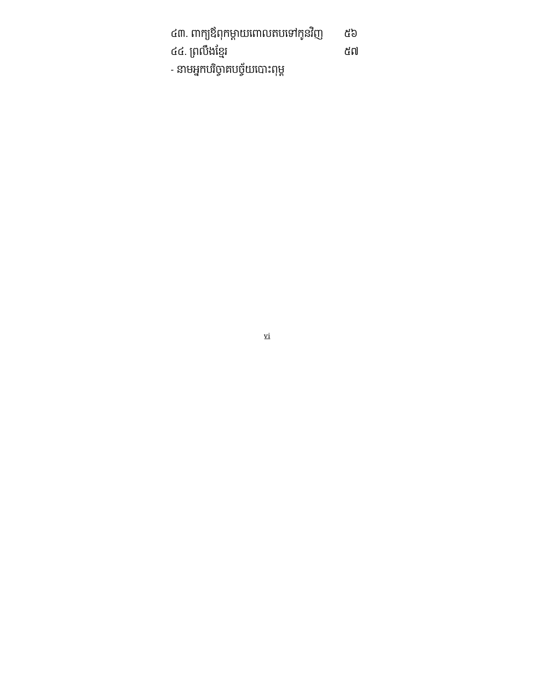| ៤៣. ពាក្យឪពុកម្តាយពោលតបទៅកូនវិញ | ៥៦ |
|---------------------------------|----|
| ៤៤. ព្រលឹងខ្មែរ                 | ៥៧ |
| - នាមអ្នកបរិច្ចាគបច្ច័យបោះពុម្ព |    |

 $\overline{\mathbf{v}}$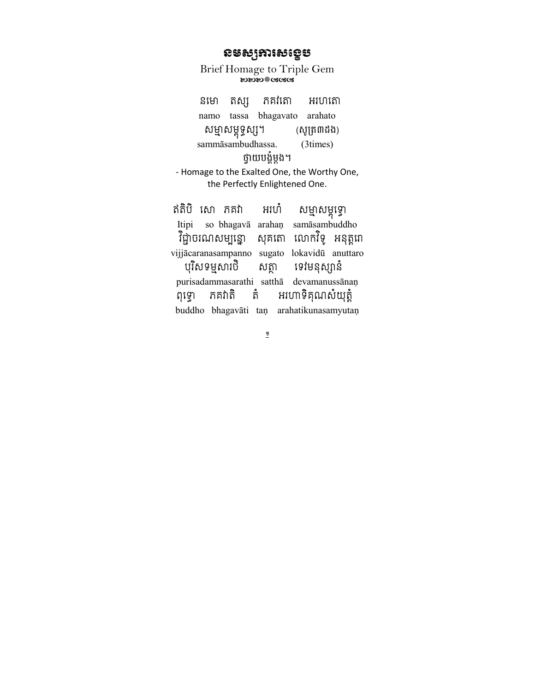#### ឧទស្សតារសខ្ទេម

Brief Homage to Triple Gem **ಬುಬು**ಿಯೊಡಡ

ភគវិតោ នមោ តស្ស អរហរតា namo tassa bhagavato arahato សម្មាសម្ពុទ្ធស្ស។ (សូត្រ៣ដង) sammāsambudhassa. (3times) ថ្វាយបង្ខំម្តង។ - Homage to the Exalted One, the Worthy One, the Perfectly Enlightened One. ឥតិបិ សោ ភគវា អរហំ សម្មាសម្ពុទ្ធោ so bhagavā arahan samāsambuddho Itipi វិជ្ជាចរណសម្បន្នោ សុគតោ លោកវិទូ អនុត្តពា vijjācaranasampanno sugato lokavidū anuttaro បុរិសទម្មសារថិ សត្ថា ទេវមនុស្សានំ

purisadammasarathi satthā devamanussānaņ ភគវាតិ អហោទិគុណសំយុត្តំ តំ ពុទ្ធោ buddho bhagavāti taņ arahatikunasamyutaņ

 $\overline{a}$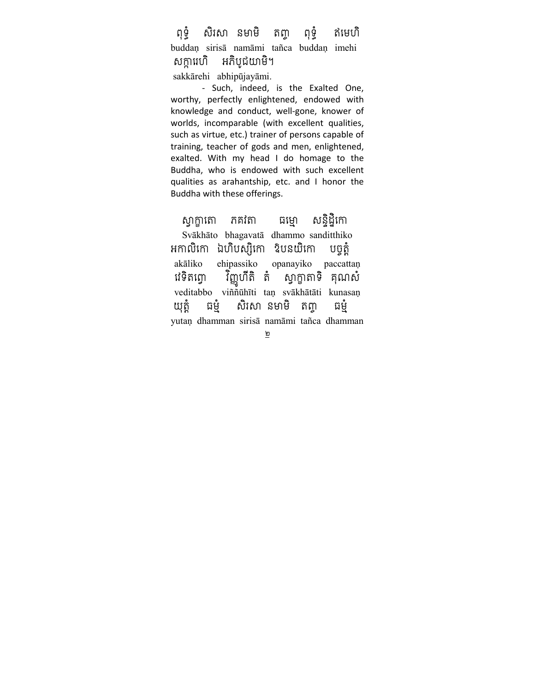ពុទ្ទំ សិរសា នមាមិ តញ្ញ ពុទ្ទំ ឥមេហិ buddaṇ sirisā namāmi tañca buddaṇ imehi សក្ការេហិ អភិបូជយាមិ។ sakkārehi abhipūjayāmi.

- Such, indeed, is the Exalted One, worthy, perfectly enlightened, endowed with knowledge and conduct, well-gone, knower of worlds, incomparable (with excellent qualities, such as virtue, etc.) trainer of persons capable of training, teacher of gods and men, enlightened, exalted. With my head I do homage to the Buddha, who is endowed with such excellent qualities as arahantship, etc. and I honor the Buddha with these offerings.

 $\overline{R}$ ស្វាក្ដាតោ កគវតា ធម្មោ សន្ទិដ្ឋិកោ Svākhāto bhagavatā dhammo sanditthiko អកាលិកោ ឯហិបស្សិកោ <sup>ក្ខ</sup>បនយិកោ បច្ចត្តំ akāliko ehipassiko opanayiko paccattaṇ<br>វេទិតព្វោ វិញ្ញហីតិ តំ ស្វាក្ខាតាទិ គុណសំ វេទតព្វោ វ ស្វាក្ខាតាទិ គុណសំ veditabbo viññūhīti taṇ svākhātāti kunasaṇ យុត្តំ ធម្មំ សិរសា នមាមិ តញ្ច ធម្មំ yutaṇ dhamman sirisā namāmi tañca dhamman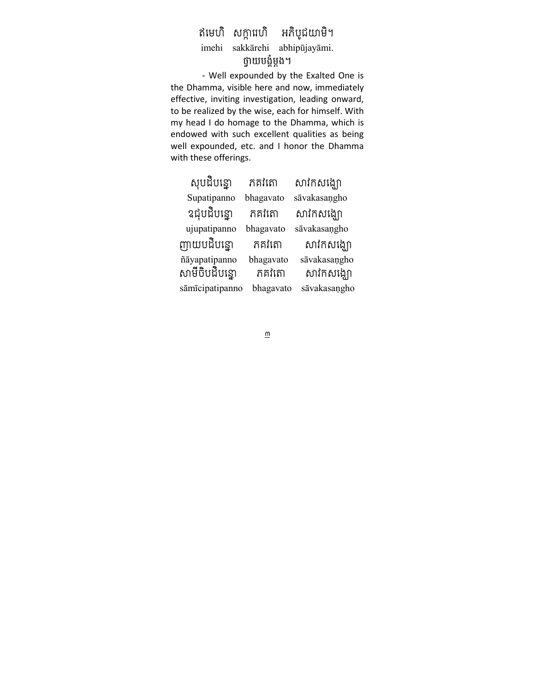#### ឥមេហិ សក្ការេហិ អភិបូជយាមិ។ imehi sakkārehi abhipūjayāmi. ថ្វាយបង្ខំម្តង។

- Well expounded by the Exalted One is the Dhamma, visible here and now, immediately effective, inviting investigation, leading onward, to be realized by the wise, each for himself. With my head I do homage to the Dhamma, which is endowed with such excellent qualities as being well expounded, etc. and I honor the Dhamma with these offerings.

| សុបដិបន្ទោ      | ភគវិតោ    | សាវកសង្ឃោ    |
|-----------------|-----------|--------------|
| Supatipanno     | bhagavato | sāvakasaņgho |
| ឧជ្ចបដិបន្ទោ    | ភគវិតោ    | សាវិកសង្ឃោ   |
| ujupatipanno    | bhagavato | sāvakasangho |
| ញ្ញាយបដិបន្ទោ   | ភគវិតោ    | សាវិកសង្ឃោ   |
| ñāyapatipanno   | bhagavato | sāvakasaņgho |
| សាមីចិបដិបន្ទោ  | ភគវិតោ    | សាវិកសង្ឃោ   |
| sāmīcipatipanno | bhagavato | sāvakasaņgho |

 $\underline{\underline{\mathsf{m}}}$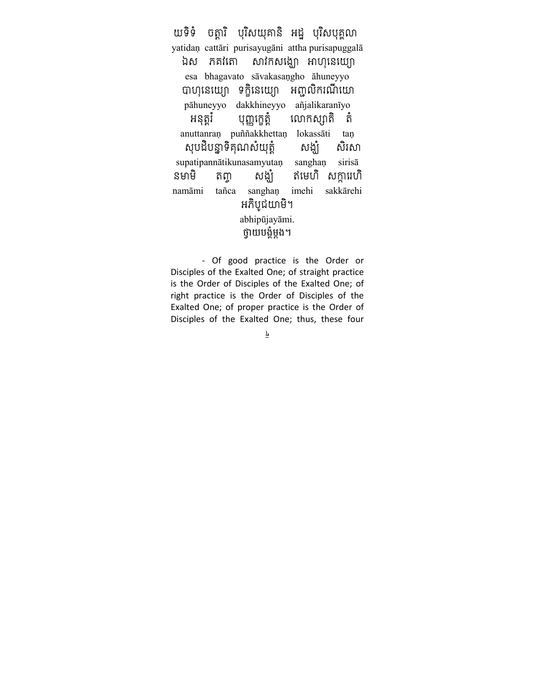យទិទំ ចត្តារិ បុរិសយុគានិ អដ្ឋ បុរិសបុគ្គលា yatidan cattāri purisayugāni attha purisapuggalā សាវកសង្ឃោ អាហុនេយ្យោ ឯស ភគវិតោ esa bhagavato sāvakasangho āhuneyyo បាហុនេយ្យោ ទក្ខិនេយ្យោ អញ្ចលិករណីយោ pāhuneyyo dakkhineyyo añjalikaranīyo លោកស្សាតិ តំ អនុត្តរំ បុញ្ញក្ខេត្តំ anuttanran puññakkhettan lokassāti tan សុបដិបន្នាទិគុណសំយុត្តំ សង្ឃំ សិរសា supatipannātikunasamyutan sanghan sirisā សង្ឃំ ឥមេហិ សក្ការេហិ នមាមិ តញ្ tañca sanghan imehi sakkārehi namāmi អភិបូជយាមិ។ abhipūjayāmi. ថ្វាយបង្ខំម្តង។

- Of good practice is the Order or Disciples of the Exalted One; of straight practice is the Order of Disciples of the Exalted One; of right practice is the Order of Disciples of the Exalted One; of proper practice is the Order of Disciples of the Exalted One; thus, these four

 $\overline{r}$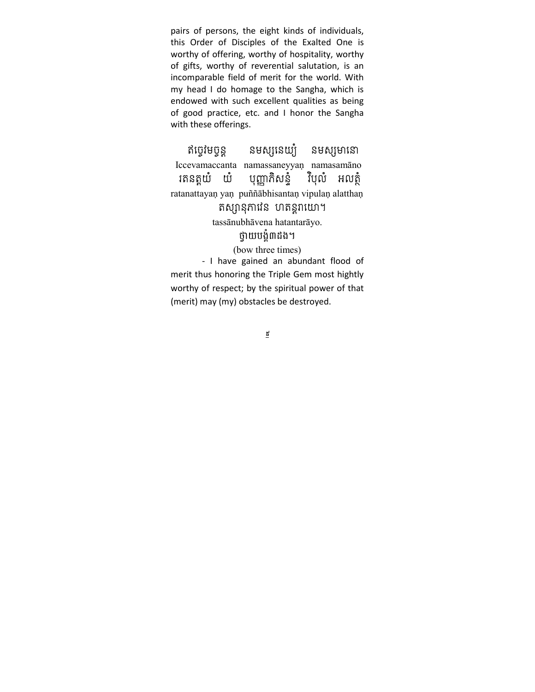pairs of persons, the eight kinds of individuals, this Order of Disciples of the Exalted One is worthy of offering, worthy of hospitality, worthy of gifts, worthy of reverential salutation, is an incomparable field of merit for the world. With my head I do homage to the Sangha, which is endowed with such excellent qualities as being of good practice, etc. and I honor the Sangha with these offerings.

ឥច្ចវមច្ចន្ត នមស្សនេយ្យំ នមស្សមានោ Iccevamaccanta namassaneyyaṇ namasamāno ាតនត្តយំ យំ បុញ្ញាកិសនំ្ វិបុលំ អលតំ ratanattayaṇ yaṇ puññābhisantaṇ vipulaṇ alatthaṇ តស្សានុភាវនៃ ហតន្តរាយោ។

tassānubhāvena hatantarāyo.

#### ថ្វាយបង្ខំ៣ដង។

(bow three times)

- I have gained an abundant flood of merit thus honoring the Triple Gem most hightly worthy of respect; by the spiritual power of that (merit) may (my) obstacles be destroyed.

 $\underline{t}$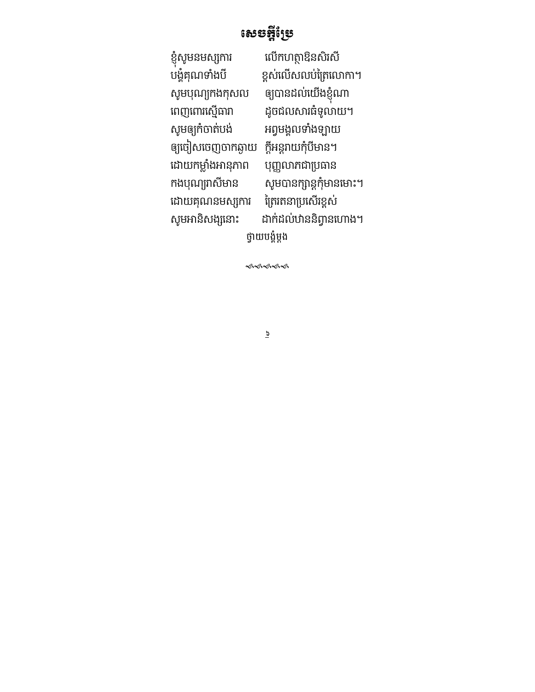### សេចក្តីស្រែ

ខ្ញុំសូមនមស្សការ<br>បង្គំគុណទាំងបី សូមបុណ្យកងកុសល<br>ពេញពោរស្មើធារា ពេញពោរស្មើធារា ដូចជលសារធំទូលាយ។<br>សូមឲ្យកំចាត់បង់ អព្វមង្គលទាំងឡាយ ឲ្យចៀសចេញចាកឆ្ងាយ ក្តីអន្តរាយកុំបីមាន។ ដោយកម្លាំងអានុភាព បុញ្ញលាភជាប្រធាន ដោយគុណនមស្សការ <mark>ត្រៃរតនាប្រសើរខ្</mark>ពស់<br>សូមអានិសង្សនោះ ដាក់ដល់ឋាននិព្វានពេ

លើកហត្ថាឱនសិរសី ខ្ពស់លើសលប់ត្រៃលោកា។ ឲ្យបានដល់យើងខ្ញុំណា អព្វមង្គលទាំងឡាយ កងបុណ្យរាសីមាន សូមបានក្សាន្តកុំមានមោះ។ ដាក់ដល់ឋាននិព្វានហោង។ ថ្វាយបង្គំម្តង

ৼ৽ৼ৽৻৽৻

 $\overline{9}$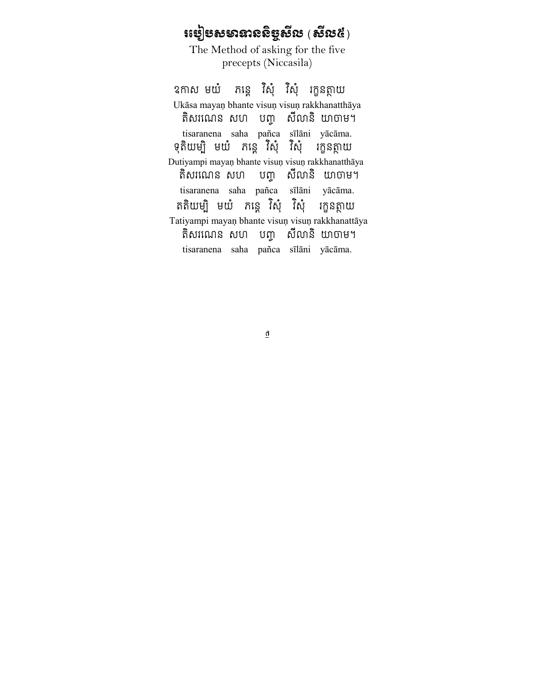# $\mathfrak{so}$ ៀបសមានាទស្ថិបូស្ថិ $\mathfrak{so} \left( \mathfrak{B} \mathfrak{B} \right)$

The Method of asking for the five precepts (Niccasila)

ឧកាស មយំ សុ វសុ រក្ខនត្ថាយ Ukāsa mayaṇ bhante visuṇ visuṇ rakkhanatthāya តិសរណេន សហ បញ្ហ សីលានិ យាចាម។ tisaranena saha pañca sīlāni yācāma. ុទុតយម្ប មយ ភន្តេ វសុ វសុ រក្ខនត្ថាយ Dutiyampi mayaṇ bhante visuṇ visuṇ rakkhanatthāya តិសរណេន សហ បញ្ច សីលានិ យាចាម។ tisaranena saha pañca sīlāni yācāma. ្គតិយម្ប មយ ភន្ត្រ សុ វសុ រក្ខនត្ថាយ Tatiyampi mayaṇ bhante visuṇ visuṇ rakkhanattāya តិសរណេន សហ បញ្ហ សីលានិ យាចាម។ tisaranena saha pañca sīlāni yācāma.

 $\overline{\mathfrak{g}}$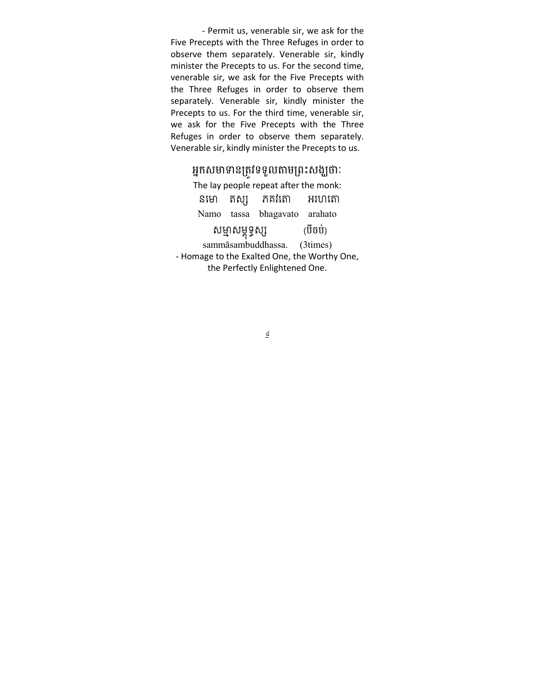- Permit us, venerable sir, we ask for the Five Precepts with the Three Refuges in order to observe them separately. Venerable sir, kindly minister the Precepts to us. For the second time, venerable sir, we ask for the Five Precepts with the Three Refuges in order to observe them separately. Venerable sir, kindly minister the Precepts to us. For the third time, venerable sir, we ask for the Five Precepts with the Three Refuges in order to observe them separately. Venerable sir, kindly minister the Precepts to us.

#### អ្នកសមាទានត្រូវទទួលតាមព្រះសង្ឃថាៈ

| The lay people repeat after the monk:        |  |                                                       |  |  |
|----------------------------------------------|--|-------------------------------------------------------|--|--|
|                                              |  |                                                       |  |  |
|                                              |  |                                                       |  |  |
| (បីចប់)<br>សម្មាសម្ពុទ្ធស្ស                  |  |                                                       |  |  |
| sammāsambuddhassa. (3times)                  |  |                                                       |  |  |
| - Homage to the Exalted One, the Worthy One, |  |                                                       |  |  |
| the Perfectly Enlightened One.               |  |                                                       |  |  |
|                                              |  | នមោ តស្ស ភគវិតោ អរហតោ<br>Namo tassa bhagavato arahato |  |  |

 $\underline{\underline{d}}$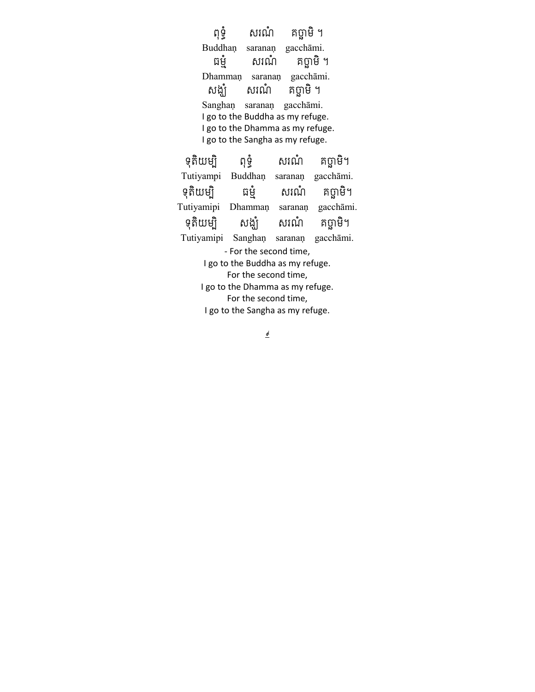ពុទ្ធំ សរណំ គប្ផាមិំ ។ Buddhaṇ saranaṇ gacchāmi. ធម្មំ សរណំ គប្ផាមិ។ Dhammaṇ saranaṇ gacchāmi. សង្ឃំ សរណំ គប្ផាមិំ ។ Sanghaṇ saranaṇ gacchāmi. I go to the Buddha as my refuge. I go to the Dhamma as my refuge. I go to the Sangha as my refuge. ទុតិយម្បិ ពុទ្ធំ សរណំ គប្ផាមិ។ Tutiyampi Buddhaṇ saranaṇ gacchāmi. ទុតិយម្បិ ធម្មំ សរណំ គប្ផាមិ។ Tutiyamipi Dhammaṇ saranaṇ gacchāmi. ទុតិយម្បិ សង្ឃំ សរណំ គប្ផាមិ។ Tutiyamipi Sanghaṇ saranaṇ gacchāmi. - For the second time, I go to the Buddha as my refuge. For the second time, I go to the Dhamma as my refuge. For the second time, I go to the Sangha as my refuge.

 $\epsilon$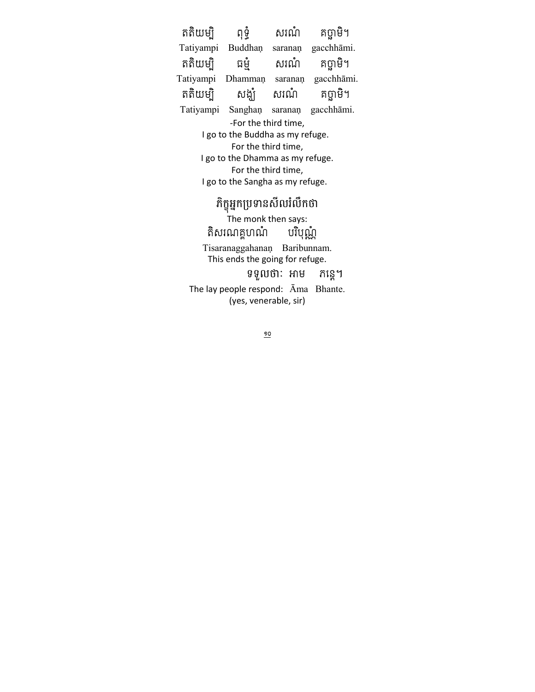តតិយម្បិ ពុទ្ធំ សរណំ គប្ផាមិ។ Tatiyampi Buddhaṇ saranaṇ gacchhāmi. តតិយម្បិ ធម្មំ សរណំ គប្ផាមិ។ Tatiyampi Dhammaṇ saranaṇ gacchhāmi. តតិយម្បិ សង្ឃំ សរណំ គប្ផាមិ។ Tatiyampi Sanghaṇ saranaṇ gacchhāmi. -For the third time, I go to the Buddha as my refuge. For the third time, I go to the Dhamma as my refuge. For the third time, I go to the Sangha as my refuge. ភក្ខុអ្នកប្រទានសលរលកថា The monk then says:

តិសរណគ្គហណំ បរិបុណ្ណំ Tisaranaggahanaṇ Baribunnam. This ends the going for refuge. ទទួលថាៈ អាម កន្ទេ។ The lay people respond: Āma Bhante. (yes, venerable, sir)

 $\frac{90}{1}$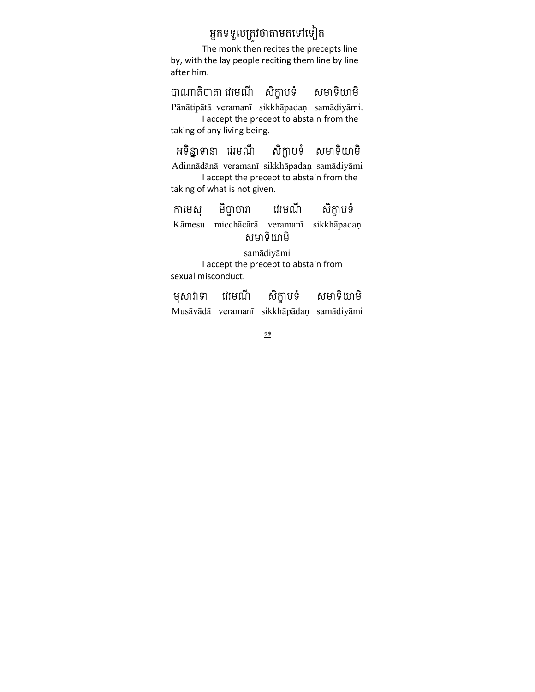### អ្នកទទួលត្រូវថាតាមតទៅទៀត

The monk then recites the precepts line by, with the lay people reciting them line by line after him.

បQប ម @ កខ បទ មទ យម Pānātipātā veramanī sikkhāpadaṇ samādiyāmi. I accept the precept to abstain from the taking of any living being.

អទិន្នាទានា វេរមណី សិក្ខាបទំ សមាទិយាមិ Adinnādānā veramanī sikkhāpadaṇ samādiyāmi I accept the precept to abstain from the taking of what is not given.

កាមេស មិច្ឆាចារា វេរមណី សិក្ខាបទំ Kāmesu micchācārā veramanī sikkhāpadaṇ សមាទិយាមិ

samādiyāmi I accept the precept to abstain from sexual misconduct.

មុសាវាទា វេរមណី សិក្ខាបទំ សមាទិយាមិ Musāvādā veramanī sikkhāpādaṇ samādiyāmi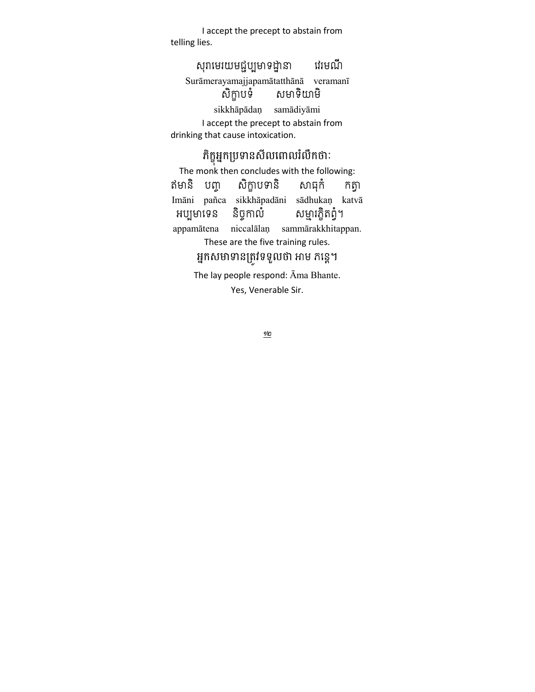I accept the precept to abstain from telling lies.

#### សុរាមេរយមជ្ជប្បមាទដ្ឋានា វេរមណី Surāmerayamajjapamātatthānā veramanī សិក្តាបទំ សមាទិយាមិ sikkhāpādaṇ samādiyāmi I accept the precept to abstain from drinking that cause intoxication.

### ភក្ខុអ្នកប្រទានសលពោលរលកថាៈ<br>-

The monk then concludes with the following: ឥមានិ បញ្ច សិក្ខាបទានិ សាធុកំ កត្វា Imāni pañca sikkhāpadāni sādhukaṇ katvā អប្បមាទេន និច្ចកាលំ សម្មារក្ខិតព្វំ។ appamātena niccalālaṇ sammārakkhitappan. These are the five training rules. អ្នកសមាទានត្រូវទទួលថា អាម ភន្តេ។

The lay people respond: Āma Bhante. Yes, Venerable Sir.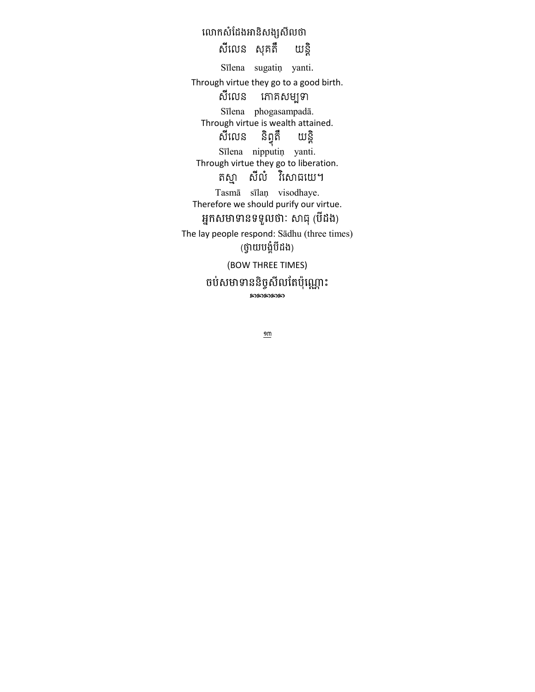លោកសំដែងអានិសង្សសីលថា សីលេន សុគតឹ យន្តិ Sīlena sugatiņ yanti. Through virtue they go to a good birth. សីលេន កោគសម្បទា Sīlena phogasampadā. Through virtue is wealth attained. យន្តិ និព្ទតឹ សីលេន Sīlena nipputiņ yanti. Through virtue they go to liberation. តស្មា សីលំ វិសោធយេ។ Tasmā sīlaņ visodhaye. Therefore we should purify our virtue. អ្នកសមាទានទទួលថា: សាធុ (បីដង) The lay people respond: Sādhu (three times) (ថ្វាយបង្ខំបីដង) (BOW THREE TIMES) ចប់សមាទាននិច្ចសីលតែប៉ុណ្ណោះ <u>ରେରେରେ</u>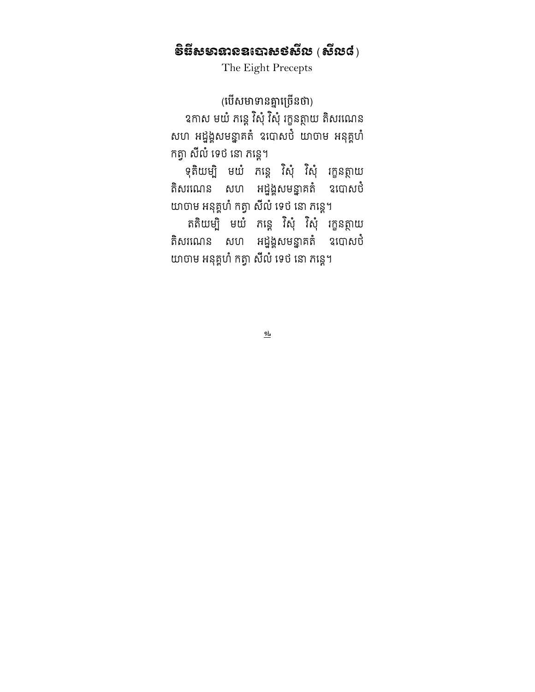## ទិនីសមានា $\mathbf s$ ននោសទសីរប  $(\mathbf s$ របស់ $)$

The Eight Precepts

(បេសមាទានគ្នាច្រេនចា) ឧកាស មយ ភន្តេ វសុ វសុ រក្ខនត្ថាយ តសរណេន សហ អដ្នង្គសមន្នាគតំ ឧបោសបំ យាចាម អនុគ្គហំ កត្វា សីលំ ទេថ នោ ភន្តេ។

ុ ទុតយម្ប មយ ភន្តេ វសុ វសុ រក្ខនត្ថាយ តិសរណេន សហ អដ្នង្គសមន្នាគតំ ឧបោសបំ យាចាម អនុគ្គហំ កត្វា សីលំ ទេថ នោ កន្តេ។

គតយម្ប មយ ភន្តេ វសុ វសុ រក្ខនត្ថាយ តិសរណេន សហ អដ្នង្គសមន្នាគតំ ឧបោសបំ យាចាម អនុគ្គហំ កត្វា សីលំ ទេថ នោ ភន្តេ។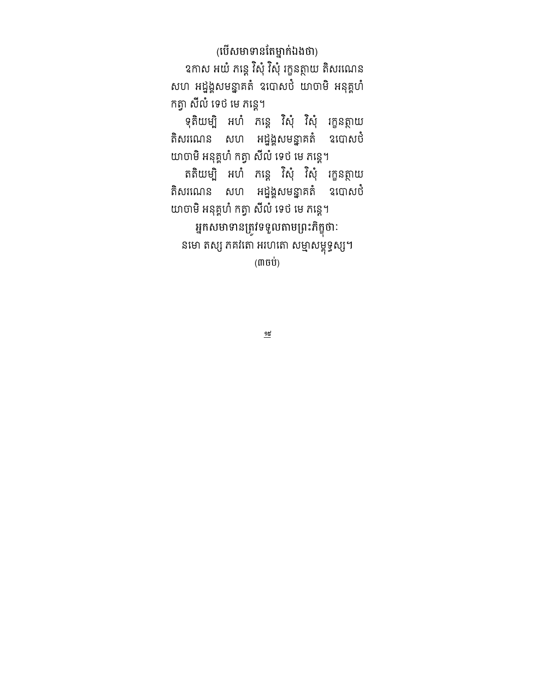(បេសមាទានតេម្នាក់ឯងថា) ឧកាស អយ ភន្តេ វសុ វសុ រក្ខនត្ថាយ តសរណេន សហ អដ្នង្គសមន្នាគតំ ឧបោសបំ យាចាមិ អនុគ្គហំ កត្វា សីលំ ទេថ មេ ភន្តេ។

ុ ទុតយម្ប អហ ភន្តេ វសុ វសុ រក្ខនត្ថាយ តិសរណេន សហ អដ្នង្គសមន្នាគតំ ឧបោសបំ យាចាមិ អនុគ្គហំ កត្វា សីលំ ទេថ មេ ភន្តេ។

គតយម្ប អហ ភន្តេ វសុ វសុ រក្ខនត្ថាយ តិសរណេន សហ អដ្នង្គសមន្នាគតំ ឧបោសបំ យាចាមិ អនុគ្គហំ កត្វា សីលំ ទេថ មេ ភន្តេ។

អ្នកសមាទានត្រូវទទួលតាមព្រះភក្ខុថាៈ នមោ តស្ស ភគវតោ អហេតោ សម្មាសម្ពុទ្ធស្ស។  $(m$ ចប់ $)$ 

 $\underline{\mathfrak{H}}$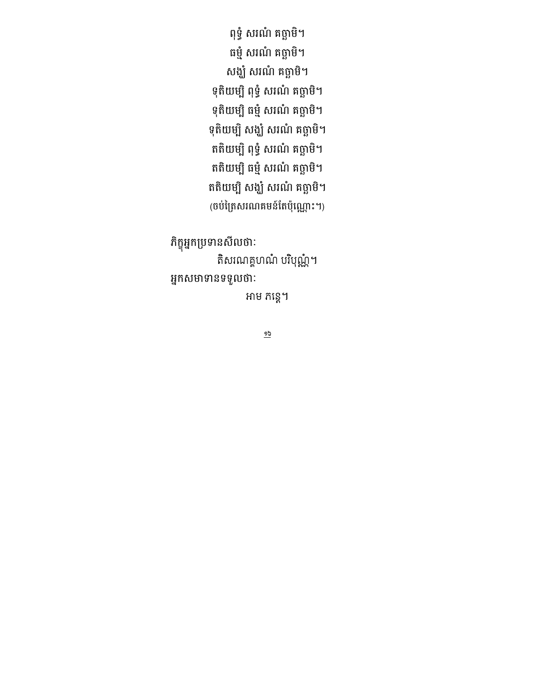ពុទ្ធ សរណ គច្ឆាម។ ធម្ម សរណ គច្ឆាម។ សង្ឃ សរណ គច្ឆាម។ ទុតយម្ប ពុទ្ធ សរណ គច្ឆាម។ មុតយម្ប ធម្ម សរណ គច្ឆាម។ មុតយម្ប សង្ឃ សរណ គច្ឆាម។ តតយម្ប ពុទ្ធ សរណ គច្ឆាម។ តតយម្ប ធម្ម សរណ គច្ឆាម។ តតយម្ប សង្ឃ សរណ គច្ឆាម។ (ចបក្រេសរណគមន៍តេបុណ្ណោះ។)

ភក្ខុអ្នកប្រមានសលចាៈ តិសរណគ្គហណំ បរិបុណ្ណំ។ អ្នកសមាទានទទួលចាៈ

អាម ភន្តេ។

 $\overline{5}$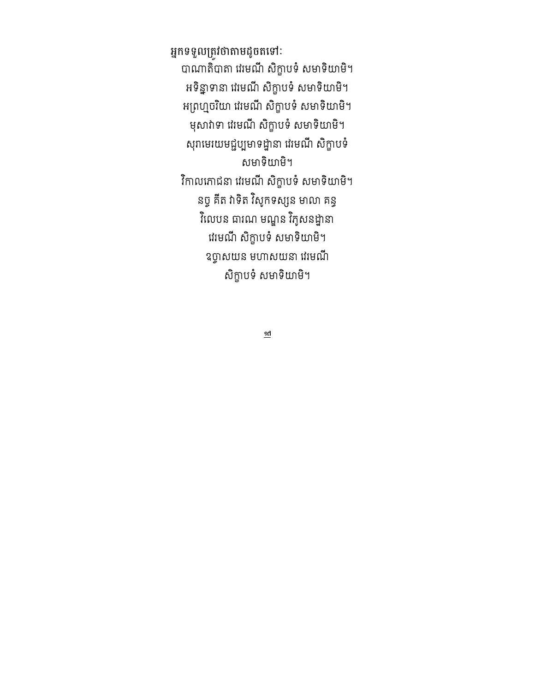អ្នកទទួលត្រូវថាតាមដូចតទៅ: បាណាតបាតា វេរមណ សក្ខាបទ សមាទយាម។ អទន្នាទានា វេរមណ សក្ខាបទ សមាទយាម។ អព្រហ្មចរយា វេរមណ សក្ខាបទ សមាទយាម។ មុសាវាទា វេរមណ សក្ខាបទ សមាទយាម។ សុរាមេរយមជ្ជប្បមាទដ្ឋានា វេរមណ សក្ខាបទ សមាទិយាមិ។ វកាលកោជនា វេរមណ សក្ខាបទ សមាទយាម។ នច្ច គត វាទត វសូកទស្សន មាលា គន្ធ វលេបន ជាណេ មណ្ឌន វកូសនដ្ឋានា វេរមណ សក្ខាបទ សមាទយាម។ ឧច្ចាសយន មហាសយនា វេរមណ សិក្ខាបទំ សមាទិយាមិ។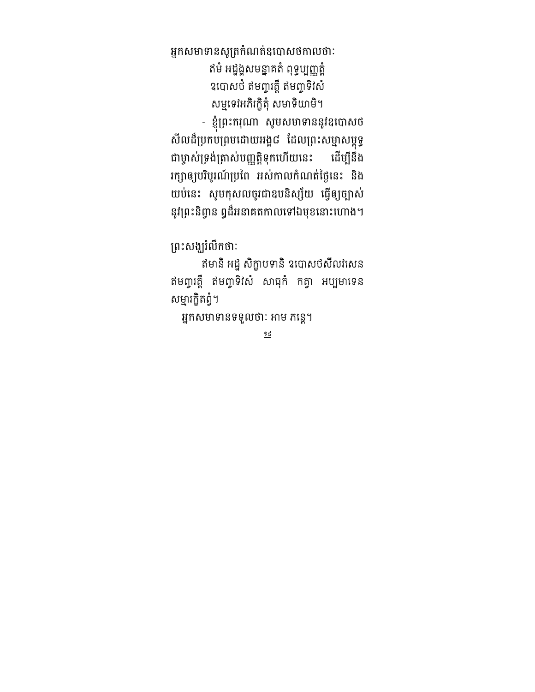អ្នកសមាទានសូត្រកំណត់ឧបោសចំកាលថាៈ ឥមំ អដ្នង្គសមន្នាគតំ ពុទ្ធប្បញ្ញត្តំ ឧបោសបី ឥមព្ចាវត្តិ ឥមព្ចាទីវិស័ សម្មទេវអភរក្ខុតុ សមាទយាម។

- ខ្ញុព្រះករុណា សូមសមាទាននូវឧបោសថ សលដប្រកបព្រមដោយអង្គុជ ដេលព្រះសម្មាសម្ពុទ្ធ ជាម្ចាសម្រងត្រាសបញ្ញត្តទុកហេយនេះ ដេម្បនង រក្សាឲ្យបរបូរណប្រពេ អស់កាលកំណត់ច្ងនេះ នង យបនេះ សូមកុសលចូរជាឧបនស្ស័យ ធ្វេឲ្យច្បាស នូវព្រះនិព្វាន ឰដ៏អនាគតកាលទៅឯមុខនោះហោង។

ព្រះសង្ឃរលកចាៈ

ឥមាន អដ្ឋ សក្ខាបទាន ឧបោសបសលវសេន ឥមព្ចាវត្ត ឥមព្ចាទសេ សាធុក កត្វា អប្បមាទេន សម្មារក្ខិតព្វំ។

អ្នកសមាទានទទួលថាៈ អាម ភន្តេ។

 $\underline{96}$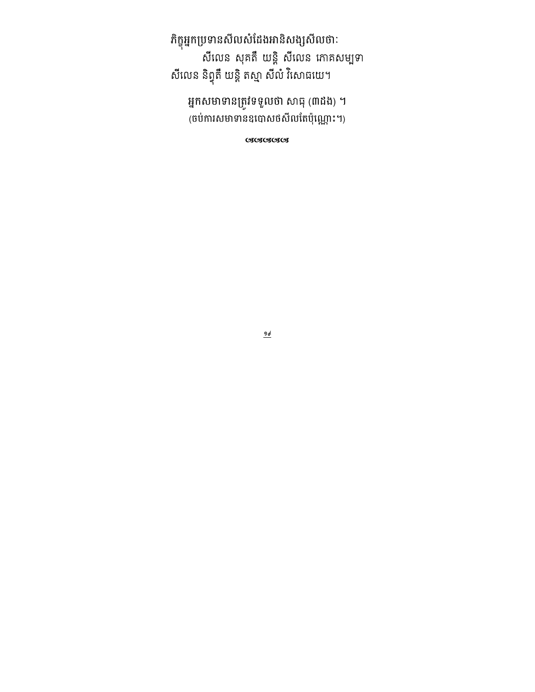ភិក្ខុអ្នកប្រទានសីលសំដែងអានិសង្សសីលថាៈ<br>សីលេន សុគតឹ យន្តិ សីលេន ភោគសម្បទា សីលេន និព្វុតឹ យន្តិ តស្មា សីលំ វិសោធយេ។

អ្នកសមាទានត្រូវទទួលថា សាធុ (៣ដង) ។ (ចប់ការសមាទានឧបោសថសីលតែប៉ុណ្ណោះ។)

cacacaca

 $\frac{965}{10}$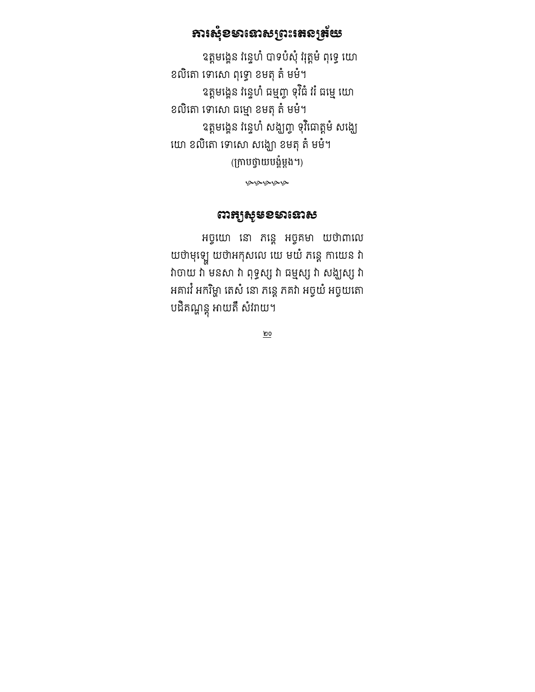### **ភារសុំខ**ទានោសព្រះរតនត្រ័យ

ឧត្តមង្គេន វន្ទេហ បាទបសុ វុត្ត្រម ពុទ្ធេ យោ ខលិតោ ទោសោ ពុទ្ធោ ខមតុ តំ មមំ។ ឧត្តមង្គេន វន្ទេហ ធម្មញ្ច ទុវធ វរ ធម្មេ យោ ខលិតោ ទោសោ ធម្មោ ខមតុ តំ មមំ។ ឧត្តមង្គេន វន្ទេហ សង្ឃញ្ចូ ទុវជោត្តម សង្ឃេ យោ ខលិតោ ទោសោ សង្ឃោ ខមតុ តំ មមំ។ (ក្រាបថ្វាយបង្គំម្តង។)

يونونونونو

#### ឍអង្គមុន១មានោស

អច្ចយោ នោ ភន្តេ អច្ចគមា យថាពាលេ យថាមុឡេ យថាអកុសលេ យេ មយ ភន្តេ កាយេន វា វាចាយ វា មនសា វា ពុទ្ធស្ស វា ធម្មស្ស វា សង្ឃស្ស វា អគារវ អករិម្ហា តេសំ នោ ភន្តេ ភគវា អច្ចយ់ អច្ចយតោ បដគណ្ហន្តុ អាយត សវរាយ។

 $\underline{\mathsf{po}}$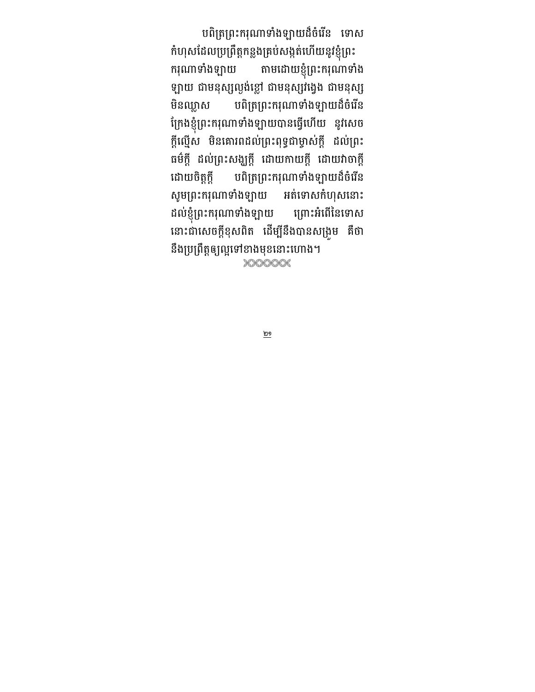បពត្រព្រះករុណាទាងឡាយដចរេន ទោស

កបុស្រដេលប្រព្រត្តកន្លងគ្របសង្កតហេយនូវខ្ញុំព្រះ ករុណាទាំងឡាយ តាមដោយខ្ញុំព្រះករុណាទាំង ឡាយ ជាមនុស្សល្ងងខ្លោ ជាមនុស្សរង្វេង ជាមនុស្ស មិនឈ្លាស បពិត្រព្រះករុណាទាំងឡាយដ៏ចំរើន ក្រេងខ្ញុំព្រះករុណាទាងឡាយបានធ្វេហេយ នូវសេច ក្កល្មេស មនគោរពដលព្រះពុទ្ធជាម្ចាសក្ក ដលព្រះ ធមក្ត ដលព្រះសង្ឃក្ត ដោយកាយក្ត ដោយរាចាក្ត ដោយចិត្តក្តី បពិត្រព្រះករុណាទាំងឡាយដ៏ចំរើន សូមព្រះករុណាទាងឡាយ អតទោស កហុសនោះ ដលខ្ញុព្រះករុណាទាងឡាយ ព្រោះអពេនេទោស នោះជាសេចក្តុខុសពត ដេម្បនងបានសម្រូម គចា នឹងប្រព្រឹត្តឲ្យល្អទៅខាងមុខនោះហោង។ XXXXXX

 $\underline{\underline{\mathsf{po}}}$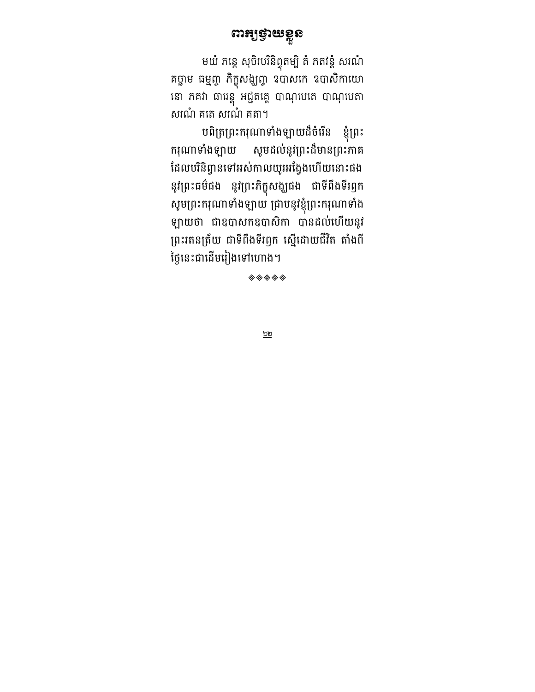### យង់និយ

មយ ភន្តេ សុចរបរនព្វុតម្ប ត ភតវន្ត សរណ គច្ឆាម ធម្មញ្ច ភិក្ខុសង្ឃញ្ច ឧបាសក ឧបាសិកាយោ នោ ភគវា ជាវេន្តុ អជ្ជតគ្គេ បាណុបេត បាណុបេតា សរណំ គតេ សរណំ គតា។

បពិត្រព្រះករុណាទាំងឡាយដ៏ចំរើន ខ្ញុំព្រះ ករុណាទាំងឡាយ សូមដល់នូវព្រះដ៏មានព្រះភាគ ដេលបរនព្វានទោអសកាលយូរអង្វេងហេយនោះផង នូវព្រះធមធង នូវព្រះភក្ខុសង្ឃផង ជាទពងទរឭក សូមព្រះករុណាទាងឡាយ ជ្រាបនូវខ្ញុព្រះករុណាទាង ឡាយថា ជាឧបាសកឧបាសកា បានដលហេយនូវ ព្រះរតនត្រយ ជាទពងទរឭក ស្មេដោយជរត តាងព ថ្ងៃនេះជាដើមរៀងទៅហោង។

 $\textcolor{red}{\textcircled{\LARGE\otimes}} \textcolor{red}{\textcircled{\LARGE\times}} \textcolor{red}{\textcircled{\LARGE\times}} \textcolor{red}{\textcircled{\LARGE\times}}$ 

<u>២២</u>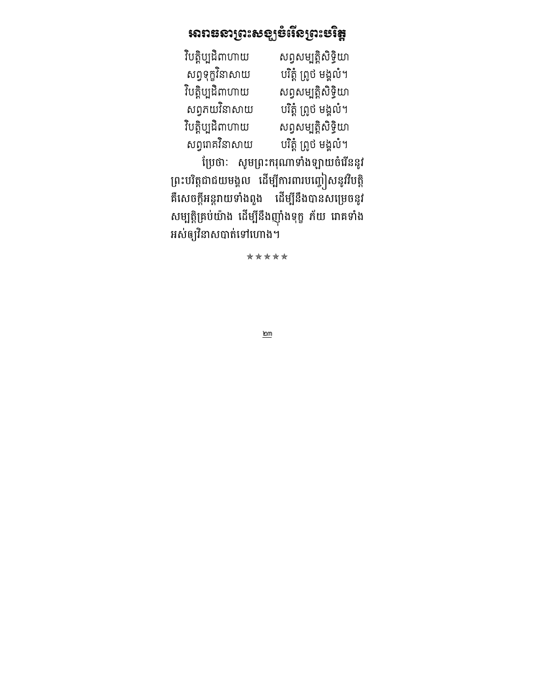## <u>ររោះធនាព្រះសទ្</u>បទំរើនព្រះមវិ<del>ន្</del>ត

| សព្វសម្បត្តិសិទ្ធិយា  |
|-----------------------|
| បរិត្តំ ព្រូថ មង្គលំ។ |
| សព្វសម្បត្តិសិទ្ធិយា  |
| បរិត្តំ ព្រូថ មង្គលំ។ |
| សព្វសម្បត្តិសិទ្ធិយា  |
| បរិត្តំ ព្រូថ មង្គលំ។ |
|                       |

ប្រេចាៈ សូមព្រះករុណាទាងឡាយចរេននូវ ព្រះបរត្តជាជយមង្គល ដេម្បការពារបញ្ចៀសនូវរបត្ត គសេចក្តអន្តរាយទាងពួង ដេម្បនងបានសម្រេចនូវ សម្បត្តគ្របយាង ដេម្បនងញុងមុក្ខ ភយ រោគទាង អសឲ្យរនាសបាតទោហោង។

\*\*\*\*\*

 $\underline{\mathsf{p}}$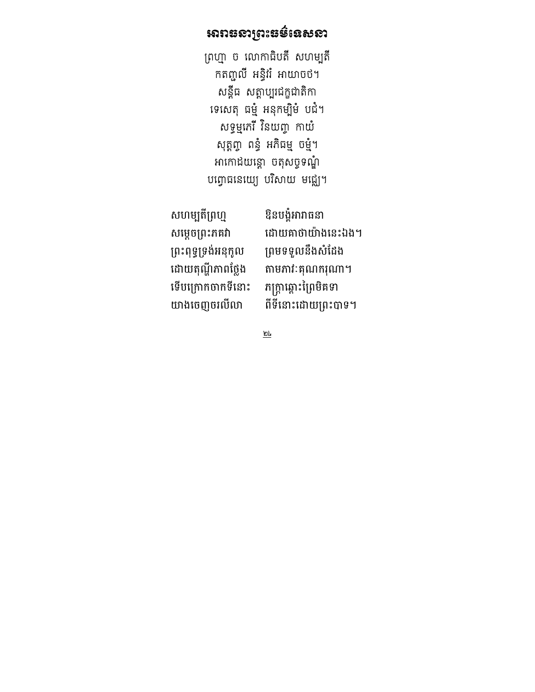### អារាននាព្រះ**ធ**ម៌នេសនា

ព្រហ្មា ច លោកាធិបតី សហម្បតិ៍ កតញ្ចូល អន្ធវវ អាយាចថ។ សន្តីធ សត្តាប្បូរជក្ខជាតិកា ទេសេតុ ធម្មំ អនុកម្បីមំ បជំ។ សទ្ធម្មកេរ នេយ៣្ច កាយ សុត្តព្វា ពន្ធំ អភិធម្ម ចម្មំ។ អាកោដយន្តោ ចតុសច្ចទណ្ឌំ បព្វោធនេយ្យេ បរិសាយ មជ្ឈេ។

សហម្បតិ៍ព្រហ្ម សម្ដេចព្រះភគវា ព្រះពុទ្ធទ្រង់អនុកូល ទើបក្រោកចាកទីនោះ

ឱនបង្ខំអារាធនា ដោយគាថាយ៉ាងនេះឯង។ ព្រមទទួលនឹងសំដែង ដោយតុណ្ហីភាពថ្លែង តាមភាវៈគុណករុណា។<br>ទើបក្រោកចាកទីនោះ ភក្ត្រាឆ្ពោះព្រៃមិគទា យាងចេញចរលីលា ពីទីនោះដោយព្រះបាទ។

 $\underline{\underline{\mathfrak{w}}_k}$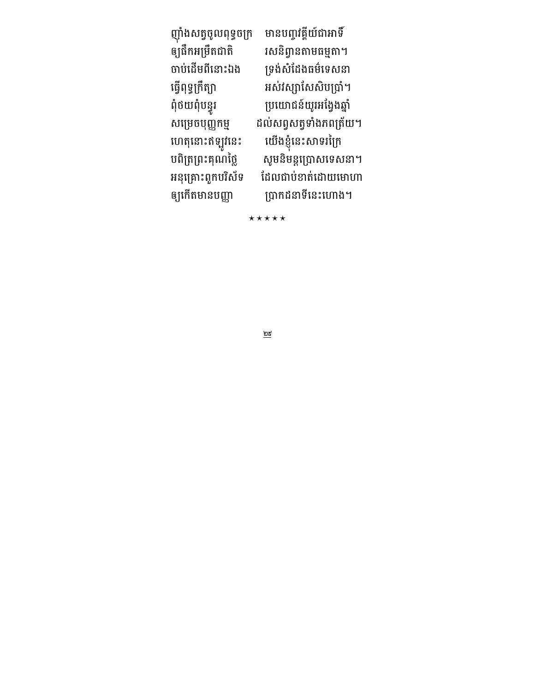| ញ៉ាំងសត្វចូលពុទ្ធចក្រ | មានបញ្ចវត្តីយ៍ជាអាទិ៍   |
|-----------------------|-------------------------|
| ឲ្យជឹកអម្រឹតជាតិ      | រសនិព្វានតាមធម្មតា។     |
| ចាប់ដើមពីនោះឯង        | ទ្រង់សំដែងធម៌ទេសនា      |
| ធ្វើពុទ្ធក្រឹត្យា     | អស់វស្សាសែសិបប្រាំ។     |
| ពុំថយពុំបន្ធូរ        | ប្រយោជន៍យូរអង្វែងឆ្នាំ  |
| សម្រេចបុញ្ញកម្ម       | ដល់សព្វសត្វទាំងភពត្រ័យ។ |
| ហេតុនោះឥឡូវនេះ        | យើងខ្ញុំនេះសាទរព្រៃ     |
| បពិត្រព្រះគុណថ្លៃ     | សូមនិមន្តព្រោសទេសនា។    |
| អនុគ្រោះពួកបរិស័ទ     | ដែលជាប់ខាត់ដោយមោហា      |
| ឲ្យកើតមានបញ្ញា        | ប្រាកដនាទីនេះហោង។       |

\*\*\*\*\*

 $\underline{\underline{\mathfrak{w}}\underline{\mathfrak{z}}}$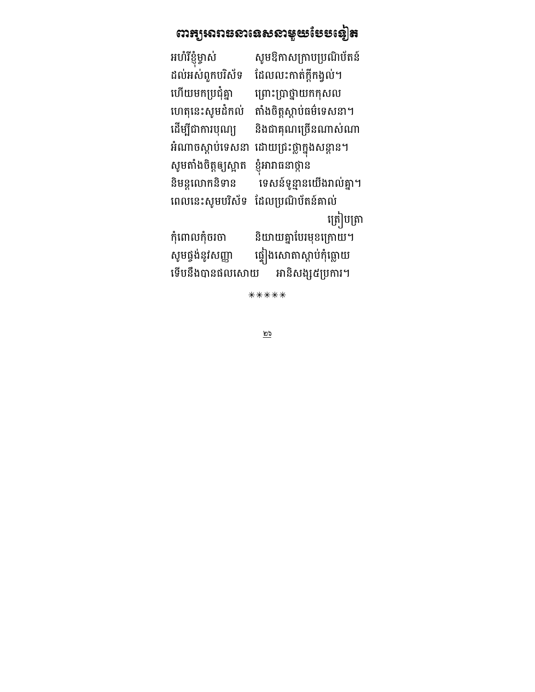# ពា<del>រ</del>ព្យអារាធនានេសនាមួយថែមទៀត

| អហំរីខ្ញុំម្ចាស់     | សូមឱកាសក្រាបប្រណិប័តន៍   |
|----------------------|--------------------------|
| ដល់អស់ពួកបរិស័ទ      | ដែលលះកាត់ក្តីកង្វល់។     |
| ហើយមកប្រជុំគ្នា      | ព្រោះប្រាថ្នាយកកុសល      |
| ហេតុនេះសូមដំកល់      | តាំងចិត្តស្តាប់ធម៌ទេសនា។ |
| ដើម្បីជាការបុណ្យ     | និងជាគុណច្រើនណាស់ណា      |
| អំណាចស្តាប់ទេសនា     | ដោយជ្រះថ្លាក្នុងសន្តាន។  |
| សូមតាំងចិត្តឲ្យស្អាត | ខ្ញុំអារាធនាថ្កាន        |
| និមន្តលោកនិទាន       | ទេសន៍ទូន្មានយើងរាល់គ្នា។ |
| ពេលនេះសូមបរិស័ទ      | ដែលប្រណិប័តន៍គាល់        |
|                      | ត្រៀបត្រា                |
| កុំពោលកុំចរចា        | និយាយគ្នាបែរមុខក្រោយ។    |
| សូមផ្ទង់នូវសញ្ញា     | ផ្ទៀងសោតាស្តាប់កុំធ្លោយ  |
| ទើបនឹងបានផលសោយ       | អានិសង្ស៥ប្រការ។         |

\*\*\*\*\*

 $\overline{\overline{\omega}}$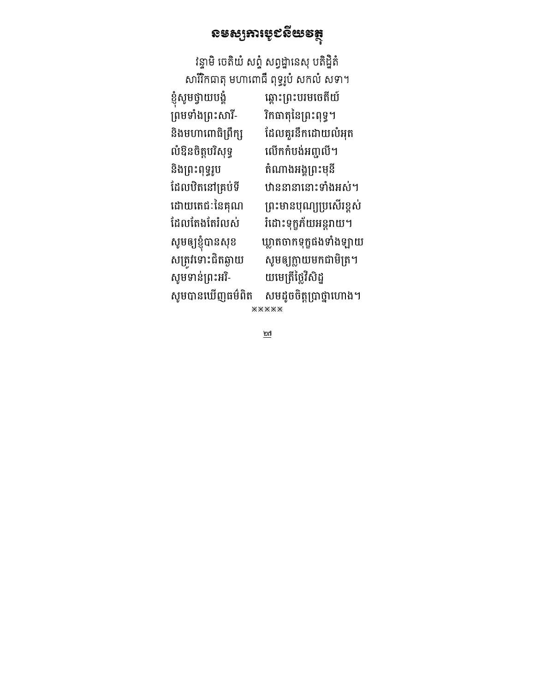# ខនទៅមរសំនួនខន់ខ្ញុំ

វន្ទាម ចេតយ សព្វ សព្វដ្ឋានេសុ បតដ្ឋត សាររកធាតុ មហាពោធ ពុទ្ធរូប សកល សទា។

| ខ្ញុំសូមថ្វាយបង្គំ | ឆ្ពោះព្រះបរមចេតីយ៍      |
|--------------------|-------------------------|
| ព្រមទាំងព្រះសារី-  | រិកធាតុនៃព្រះពុទ្ធ។     |
| និងមហាពោធិព្រឹក្ស  | ដែលគួរនឹកដោយលំអុត       |
| លំឱនចិត្តបរិសុទ្ធ  | លើកកំបង់អញ្ចូលី។        |
| និងព្រះពុទ្ធរូប    | តំណាងអង្គព្រះមុនី       |
| ដែលឋិតនៅគ្រប់ទី    | ឋាននានានោះទាំងអស់។      |
| ដោយតេជៈនៃគុណ       | ព្រះមានបុណ្យប្រសើរខ្ពស់ |
| ដែលតែងតែរំលស់      | រំដោះទុក្ខភ័យអន្តរាយ។   |
| សូមឲ្យខ្ញុំបានសុខ  | ឃ្លាតចាកទុក្ខផងទាំងឡាយ  |
| សត្រូវទោះជិតឆ្ងាយ  | សូមឲ្យក្លាយមកជាមិត្រ។   |
| សូមទាន់ព្រះអរិ-    | យមេត្រីថ្លៃវិសិដ្ន      |
| សូមបានឃើញធម៌ពិត    | សមដូចចិត្តប្រាថ្នាហោង។  |
|                    |                         |

 $*****$ 

 $\overline{\omega}$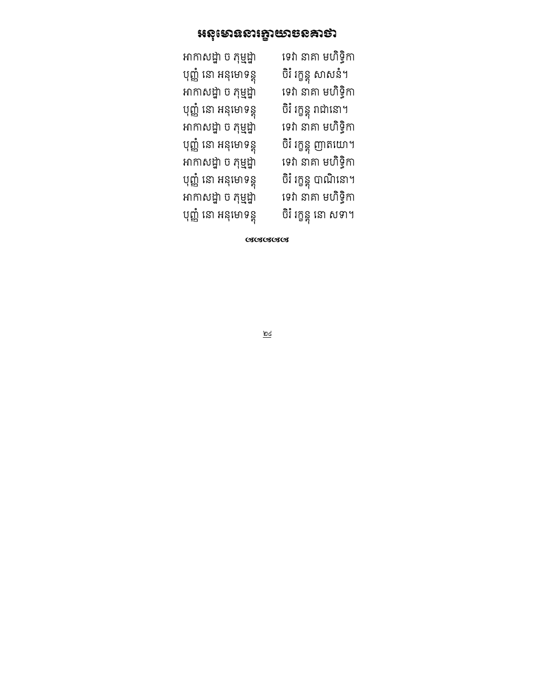### **អនុ**មោននារគ្នាយាចនគាថា

| ទេវា នាគា មហិទ្ធិកា   |
|-----------------------|
| បិរំ រក្ខន្ត សាសនំ។   |
| ទេវា នាគា មហិទ្ធិកា   |
| ចិរំ រក្ខន្តុ រាជានោ។ |
| ទេវា នាគា មហិទ្ធិកា   |
| ចិរំ រក្ខន្ត ញាតយោ។   |
| ទេវា នាគា មហិទ្ធិកា   |
| ចិរំ រក្ខន្តុ បាណិនោ។ |
| ទេវា នាគា មហិទ្ធិកា   |
| ចិរំ រក្ខន្ត នោ សទា។  |
|                       |

ೞೞೞೞ

 $\underline{\underline{\mathsf{p}}\underline{\mathsf{c}}}$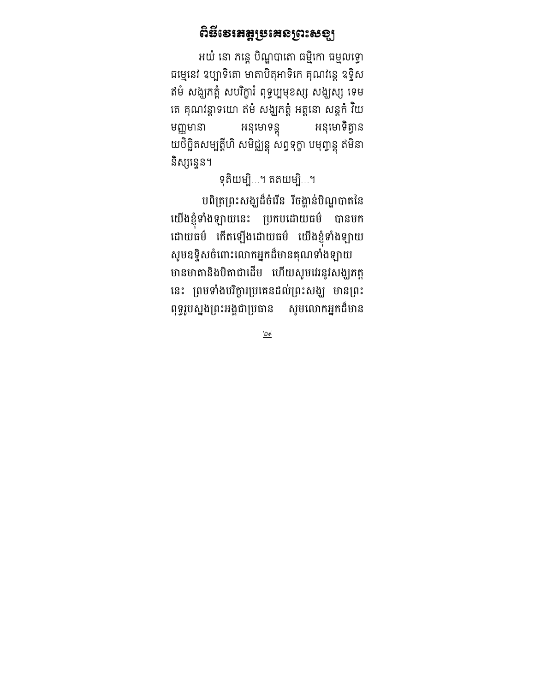### ពិនីទេ៖ឥត្តូទ្រេះេទ្យាះសទ្បុ

អយំ នោ ភន្តេ បិណ្ឌបាតោ ធម្មិកោ ធម្មលទ្ធោ ធម្មេនេវ ឧប្បាទតោ មាតាបតុអាទកេ គុណវន្តេ ឧទ្ទស ឥមំ សង្ឃកត្តំ សបរិក្ខារំ ពុទ្ធប្បមុខស្ស សង្ឃស្ស ទេម គេ គុណវន្តាទយោ ឥម សង្ឃភត្តុ អត្តនោ សន្តុក វយ មញ្ញមានា អនុមោទន្ត្ យថច្ឆតសម្បត្តហ សមជ្ឈន្តុ សព្វទុក្ខា បមុញ្ចន្តុ ឥមនា និស្សនេ្លន។

ទុតិយម្បិ…។ តតយម្បិ…។

បពត្រព្រះសង្ឃដចរេន រចង្ហានបណ្ឌបាតនេ យេងខ្ញុំទាងឡាយនេះ ប្រកបដោយធម បានមក ដោយធម កេតឡេងដោយធម យេងខ្ញុំទាងឡាយ សូមឧទ្ទសចពោះលោកអ្នកដមានគុណទាងឡាយ មានមាតានងបតាជាដេម បោយសូមរេរនូវសង្ឃុរកត្ត នេះ ព្រមទាងបរក្ខារប្រគេនដលព្រះសង្ឃ មានព្រះ ពុទ្ធរូបស្នងព្រះអង្គជាប្រធាន សូ សូមលោកអ្នកដ៏មាន

 $\underline{P}$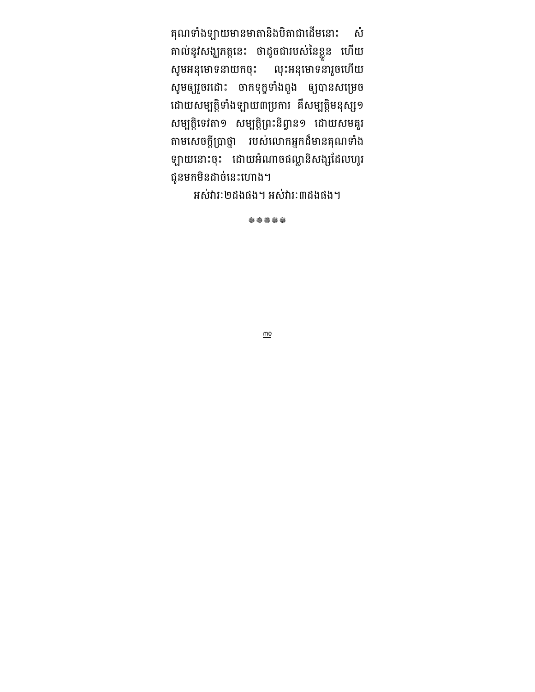គុណទាំងឡាយមានមាតានិងបិតាជាដើមនោះ សំ គាលនូរសង្ឃភត្តនេះ ចាដូចជារបសនេខ្លួន ហេយ សូមអនុមោទនាយកចុះ លុះអនុមោទនារួចហើយ សូមឲ្យរួចរដោះ ចាកទុក្ខទាងពួង ឲ្យបានសម្រេច ដោយសម្បត្តទាងឡាយ៣ប្រការ គសម្បត្តមនុស្ស១ សម្បត្តទេវតា១ សម្បត្តព្រះនព្វាន១ ដោយសមគួរ តាមសេចក្តព្រាថ្នា របស់លោកអ្នកដមានគុណទាង ឡាយនោះចុះ ដោយអណាចផល្លានសង្សដេលហូរ ជូនមកមិនដាច់នេះហោង។

អស់រារៈ២ដងផង។ អស់រារៈ៣ដងផង។

养养养养

 $\underline{\text{mo}}$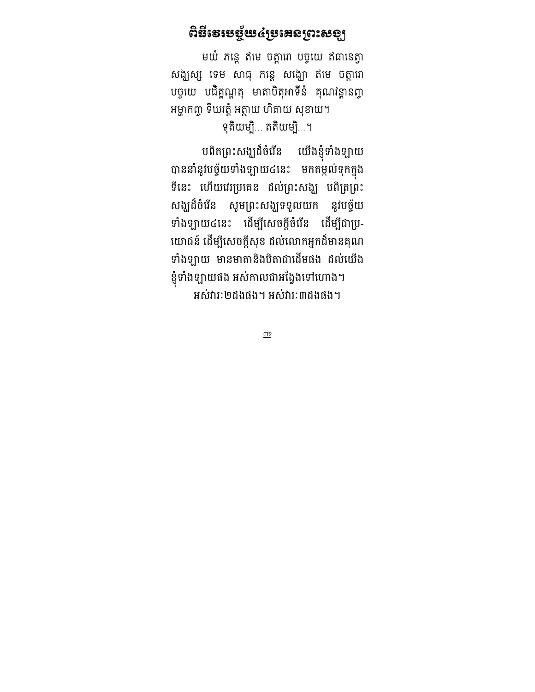### ពិនីទេទេ**ច្ឆ័យ៤**្រនោះសូរសេខ្យ

មយំ ភន្តេ ឥមេ ចត្តាពា បច្ចុយេ ឥធានេត្តា សង្ឃស្ស ទេម សាធុ កន្តេ សង្ឃោ ឥមេ ចត្តាពា បច្ចុយេ បដគ្គណ្ហតុ មាតាបតុអាទន គុណវន្តានព្វា អម្ហាកព្ចា ទីឃរត្តំ អត្ថាយ ហិតាយ សុខាយ។ ទុតិយម្បិ… តតិយម្បិ…។

បពតព្រះសង្ឃដចរេន យេងខ្ញុ យើងខ្ញុំទាំងឡាយ បាននាំនូវបច្ច័យទាំងឡាយ៤នេះ មកតម្កល់ទុកក្នុង ទនេះ ហេយវេរប្រគេន ដលព្រះសង្ឃ បពត្រព្រះ សង្ឃដចរេន សូ ន សូមព្រះសង្ឃទទួលយក នូរបច្ចយ ទាងឡាយ៤នេះ ដេម្បសេចក្តុចរេន ដេម្បជាប្រ-យោជន ដេម្បីសេចក្តសុខ ដល់លោកអ្នកដមានគុណ ទាំងឡាយ មានមាតានិងបិតាជាដើមផង ដល់យើង ខ្ញុំទាងឡាយផង អសកាលជាអង្វេងទោហោង។ អស់រារៈ២ដងផង។ អស់រារៈ៣ដងផង។

 $\underline{m}$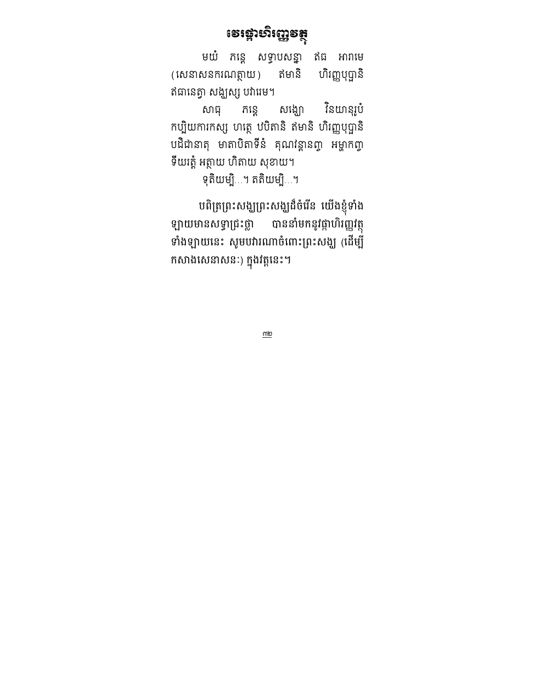## ទេវង្គាមាំញ្ញេទត្តុ

មយំ កន្តេ សទ្ធាបសន្នា ឥធ អារាមេ (សេនាសនករណត្ថាយ) ឥមានិ ហិរញ្ញបុប្ផានិ ឥធានេត្វា សង្ឃស្ស បវារេម។

សាធុ ភន្តេ សង្ឃោ នៃយានុរូប កប្បិយការកស្ស ហត្ថេ ឋបិតានិ ឥមានិ ហិរញ្ញបុប្ផានិ បដជានាតុ មាតាបតាទន គុណវន្តានព្វា អម្ហាកព្វា ទីយរត្តំ អត្ថាយ ហិតាយ សុខាយ។

ទុតិយម្បិ…។ តតិយម្បិ…។

បពត្រព្រះសង្ឃព្រះសង្ឃដចរេន យេងខ្ញុំទាង ឡាយមានសទ្ធាជ្រះថ្លា បាននាំមកនូវផ្កាហិរញ្ញវត្ថុ មាងម្បាយនេះ សូមបរារណាចពោះព្រះសង្ឃ (ដេម្ប កសាងសេនាសនៈ) ក្នុងវត្តនេះ។

 $\underline{\underline{\sf m}\underline{\sf m}}$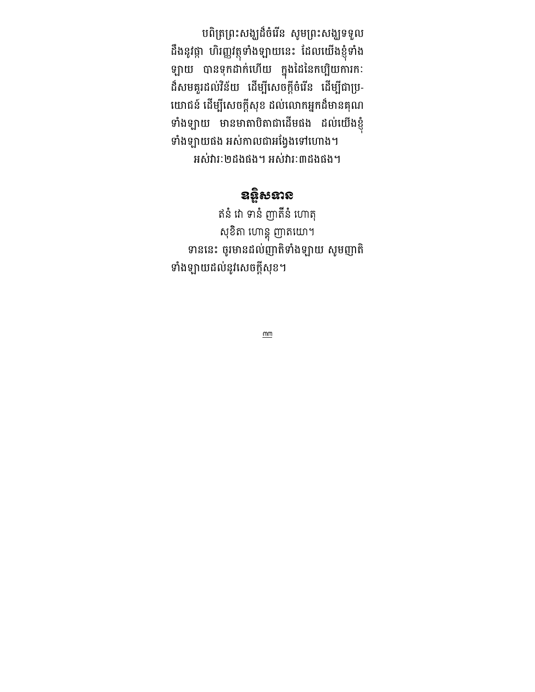បពត្រព្រះសង្ឃដចរេន សូមព្រះសង្ឃទទួល ដងនូវផ្កា បារញ្ញវត្ថុទាងឡាយនេះ ដេលយេងខ្ញុំទាង ឡាយ បានទុកដាក់ហើយ ក្នុងដៃនៃកប្បិយការកៈ ដសមគួរដល់វនយ ដេម្បីសេចក្តុចរេន ដេម្បីជាប្រ-យោជន ដេម្បីសេចក្តសុខ ដល់លោកអ្នកដមានគុណ ទាងឡាយ មានមាតាបតាជាដេមផង ដលយេងខ្ញុំ ទាងឡាយផង អស់កាលជាអង្វេងទោហោង។ អស់រារៈ២ដងផង។ អស់រារៈ៣ដងផង។

## ឧន្តិសនាន

ឥនំ វោ ទានំ ញាតីនំ ហោតុ សុខតា ហោន្តុ ញាតយោ។ ទាននេះ ចូរមានដល់ញាតទាងឡាយ សូមញាត ទាងឡាយដលនូរសេចក្តសុខ។

 $\underline{mm}$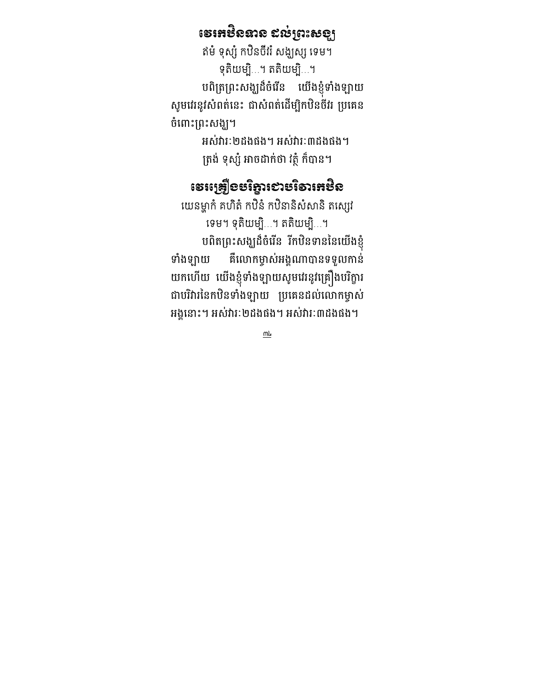### ទេអេមិននាន ៩ល់ព្រះសទ្បុ

ឥម ទុស្ស កឋនចវរ សង្ឃស្ស ទេម។ ទុតិយម្បិ…។ តតិយម្បិ…។ បពត្រព្រះសង្ឃដចរេន យេងខ្ញុំមាងម្បាយ សូមរេរនូវសពតនេះ ជាសពតដេម្បកបនចររ ប្រគេន ចពោះព្រះសង្ឃ។

> អស់រារៈ២ដងផង។ អស់រារៈ៣ដងផង។ ត្រង់ ទុស្ស អាចដាក់ថា វត្ថុ កបាន។

### ទេស្រឡើខមរិត្នាទោះមាំនារអមិន

យេនម្ហាក គហត កឋន កឋនានសសាន តស្សេវ ទេម។ ទុតិយម្បិ…។ តតិយម្បិ…។ បពតព្រះសង្ឃដចរេន រកបនទាននេយេងខ្ញុំ ទាងឡាយ គលោកម្ចាស់អង្គណាបានទទួលកាន យកហេយ យេងខ្ញុំទាងឡាយសូមរេរនូវគ្រឿងបរក្ខារ ជាបរិវារនៃកឋិនទាំងឡាយ ប្រគេនដល់លោកម្ចាស់ អង្គនោះ។ អសារៈ២ដងផង។ អសារៈ៣ដងផង។

 $m<sub>k</sub>$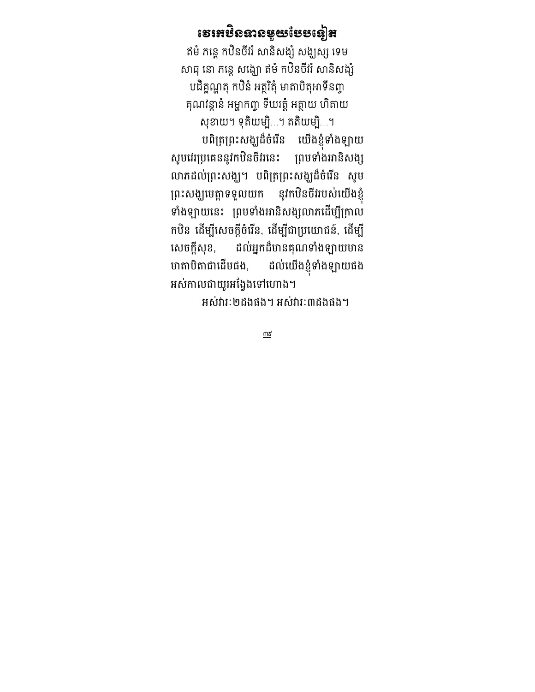### នោះស្ថិតនាងតំណែននេះ

ឥម ភន្តេ កឋនចវរ សានសង្ស សង្ឃស្ស ទេម សាធុ នោ ភន្តេ សង្ឃោ ឥម កឋនចវរ សានសង្ស បដិគ្គណ្ហតុ កឋិនំ អត្ថរិតុំ មាតាបិតុអាទីនព្វា គុណវន្តាន អម្ហាកព្ចា ទឃវត្ត អត្ថាយ ហតាយ សុខាយ។ ទុតិយម្បិ…។ តតិយម្បិ…។

បពត្រព្រះសង្ឃដចរេន យេងខ្ញុំទាងឡាយ សូមរេរប្រគេននូវកបនចររនេះ ព្រមទាងអានស ព្រមទាំងអានិសង្ស លាភដលព្រះសង្ឃ។ បពត្រព្រះសង្ឃដចរេន សូម ព្រះសង្ឃមេត្តាទទួលយក នូវកបនចររបសយេងខ្ញុំ ទាងឡាយនេះ ព្រមទាងអានសង្សលាភដេម្បក្រាល កបន ដេម្បីសេចក្តុចវេន, ដេម្បីជាប្រយោជន, ដេម្បី សេចក្តសុ ដល់អ្នកដ៏មានគុណទាំងឡាយមាន មាតាបិតាជាដើមផង, ដល់យើងខ្ញុំទាំងឡាយផង អសកាលជាយូរអង្វេងទោហោង។

អស់រារៈ២ដងផង។ អស់រារៈ៣ដងផង។

 $m$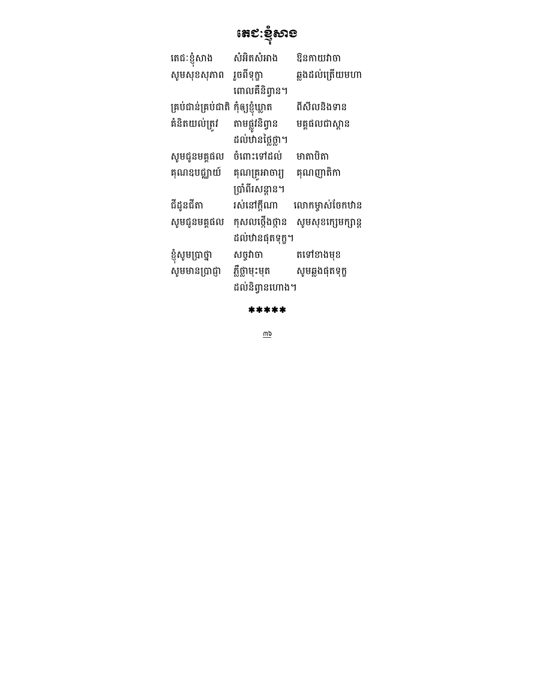នេះ:ទំឡូខាទ

| តេជៈខ្ញុំសាង       | សំអិតសំអាង       | ឱនកាយវាចា          |
|--------------------|------------------|--------------------|
| សូមសុខសុភាព        | រួចពីទុក្ខា      | ឆ្លងដល់ត្រើយមហា    |
|                    | ពោលគឺនិព្វាន។    |                    |
| គ្រប់ជាន់គ្រប់ជាតិ | កុំឲ្យខ្ញុំឃ្លាត | ពីសីលនិងទាន        |
| គំនិតយល់ត្រវ       | តាមផ្លូវនិព្វាន  | មគ្គផលជាស្ពាន      |
|                    | ដល់ឋានថ្លៃថ្លា។  |                    |
| សូមជូនមគ្គផល       | ចំពោះទៅដល់       | មាតាបិតា           |
| គុណឧបជ្ឈាយ៍        | គុណគ្រូអាចារ្យ   | គុណញាតិកា          |
|                    | ប្រាំពីរសន្តាន។  |                    |
| ជីដូនជីតា          | រស់នៅក្តីណា      | លោកម្ចាស់ចែកឋាន    |
| សូមជូនមគ្គផល       | កុសលថ្កើងថ្កាន   | សូមសុខក្សេមក្សាន្ត |
|                    | ដល់ឋានផុតទុក្ខ។  |                    |
| ខ្ញុំសូមប្រាថ្នា   | សច្ចវាចា         | តទៅខាងមុខ          |
| សូមមានប្រាជ្ញា     | ភ្លឺថ្លាមុះមុត   | សូមឆ្លងផុតទុក្ខ    |
|                    | ដល់និព្វានហោង។   |                    |

\*\*\*\*\*

 $\overline{w}$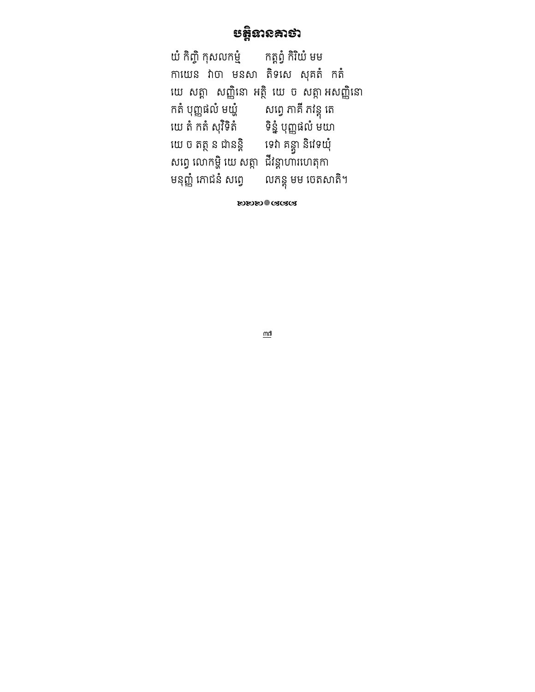### ប&ទនគថ

យំ កិញ្ចិ កុសលកម្មំ កត្តព្វំ កិរិយំ មម កាយេន វាចា មនសា តិទសេ សុគតំ កតំ យេ សត្តា សញ្ញិនោ អត្ថិ យេ ច សត្តា អសញ្ញិនោ កត បុញ្ញផល មយ្ហ សព្វេ ភាគ ភវន្តុ តេ យេ ត កត សុវទត ទន្ន បុញ្ញផល មយា យ ច ថ ន ជនន' ទ គន' 5 ន ទយ សព្វេ លោកម្ហ យេ សត្តា ជវន្តាហារហេតុកា មនុញ្ញ កោជន សព្វេ លកន្តុ មម ចេតសាត។

**๛๛๛**฿๛๛

 $\underline{\mathsf{m}}$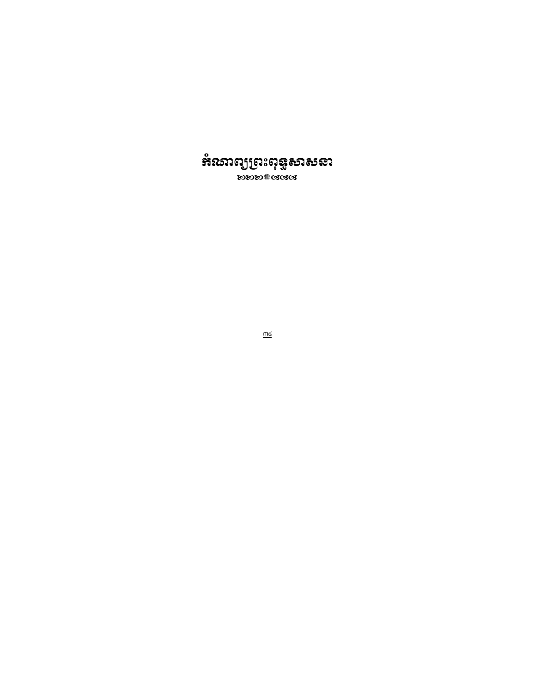

 $\underline{\underline{\mathsf{md}}}$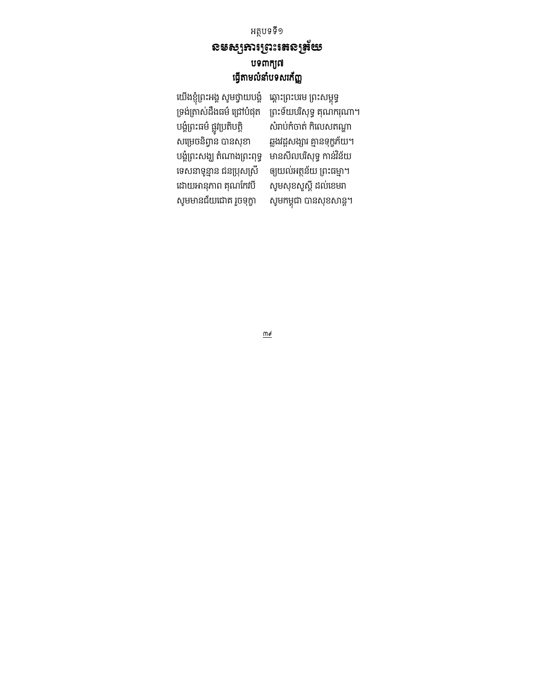#### អត្ថបទទី១ ឧមស្សឆារព្រះរតនត្រ័យ បទពាក្យ៧ ធ្វើតាមលំនាំបទសរក័ញ្ញ

យេងខ្ញុំព្រះអង្គ សូមថ្វាយបង្គ ឆ្ពោះព្រះបរម ព្រះសម្ពុទ្ធ ទ្រង់ត្រាស់ដឹងធម៌ ជ្រៅបំផុត ព្រះទ័យបរិសុទ្ធ គុណករុណា។ បង្គំព្រះធម៌ ផ្លូវប្រតិបត្តិ<br>សម្រេចនិព្វាន បានសុខា បង្គំព្រះសង្ឃ តំណាងព្រះពុទ្ធ មានសីលបរិសុទ្ធ កាន់វិន័យ<br>ទេសនាទូន្មាន ជនប្រុសស្រី ឲ្យយល់អត្ថន័យ ព្រះធម្មា។ ទេសនាទូន្មាន ជនប្រុសស្រី ឲ្យយល់អត្ថន័យ ព្រះធម្មា។<br>ដោយអានុភាព គុណកែវបី សូមសុខសួស្តី ដល់ខេមរា ដោយអានុភាព គុណកែវបី សូមមានជ័យជោគ រួចទុក្ខា

សំរាប់កំចាត់ កិលេសតណ្ហា ឆ្លងវដ្តសង្សារ គ្មានទុក្ខភ័យ។<br>មានសីលបរិសុទ្ធ កាន់វិន័យ សូមកម្ពុជា បានសុខសាន្ត។

 $\overline{\mathfrak{g}}$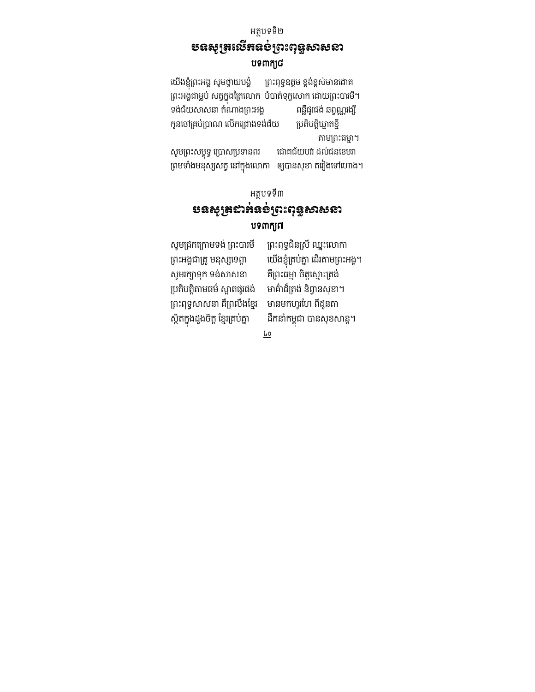### អត្ថបទទី២ បទសូរ្យូតយើតនខ់ប្រះពុទ្ធសាសនា បទពាក្យជ

យើងខ្ញុំព្រះអង្គ សូមថ្វាយបង្គំ ព្រះពុទ្ធឧត្តម ខ្ពង់ខ្ពស់មានជោគ ព្រះអង្គជាម្លប់ សត្វក្នុងត្រៃលោក បំបាត់ទុក្ខសោក ដោយព្រះបារមី។<br> ទង់ជ័យសាសនា តំណាងព្រះអង្គ ពន្លឺផ្សផង់ ឆព្វណ្ណរង្សី ទង់ជ័យសាសនា តំណាងព្រះអង្គ កូនចៅគ្រប់ប្រាណ លើកជ្រោងទង់ជ័យ ប្រតិបត្តិឃ្មាតខ្មី តាមព្រះធម្មា។ សូមព្រះសម្ពុទ្ធ ប្រោសប្រទានពរ ដោគជ័យបវរ ដល់ជនខេមរា

ព្រមទាំងមនុស្សសត្វ នៅក្នុងលោកា ឲ្យបានសុខា តរៀងទៅហោង។

#### អត្ថបទទី៣ <u>បនសូត្រដាអ់ឧ</u>ទំព្រះពុន្ទសាសនា

#### បទពាក្យព

សូមជ្រកក្រោមទង់ ព្រះបារមី ព្រះពុទ្ធជិនស្រី ឈ្នះលោកា ព្រះអង្គជាគ្រូ មនុស្សទេព្តា សូមរក្សាទុក ទង់សាសនា គឺព្រះធម្មា ចិត្តស្មោះត្រង់ ប្រតិបត្តិតាមធម៌ ស្អាតផូរផង់ មាគ៌ាដ៏ត្រង់ និព្វានសុខា។ ព្រះពុទ្ធសាសនា គឺព្រលឹងខ្មែរ មានមកហូរហែ ពីដូនតា ស្ថិតក្នុងដួងចិត្ត ខ្មែរគ្រប់គ្នា

យើងខ្ញុំគ្រប់គ្នា ដើរតាមព្រះអង្គ។ ដឹកនាំកម្ពុជា បានសុខសាន្ត។

 $\underline{\underline{\mathbf{k}}\,\underline{\mathbf{0}}}$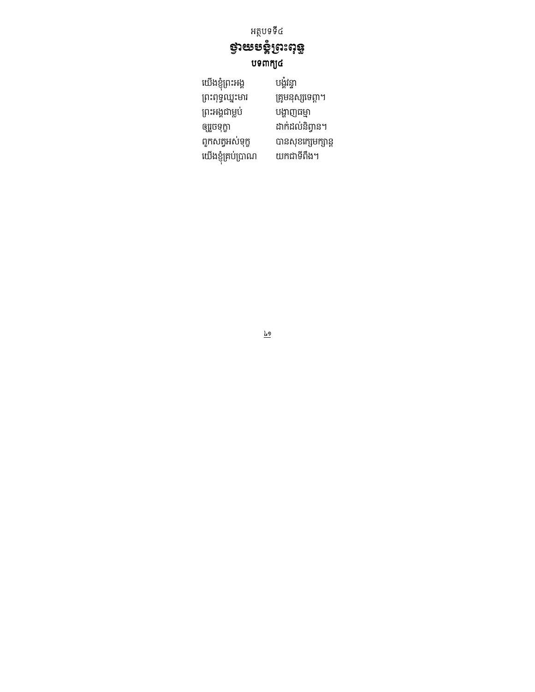## <del>និ</del>រតានូង ឋទពាក្យ៤

យើងខ្ញុំព្រះអង្គ បង្គំវន្ទា ព្រះពុទ្ធឈ្នះមារ គ្រូមនុស្សទេព្ដា។ ព្រះអង្គជាម្លប់ បង្ហាញធម្មា ដាក់ដល់និព្វាន។ ឲ្យរួចទុក្ខា ពួកសត្វអស់ទុក្ខ បានសុខក្សេមក្សាន្ត .<br>យើងខ្ញុំគ្រប់ប្រាណ យកជាទីពឹង។

 $\underline{l}$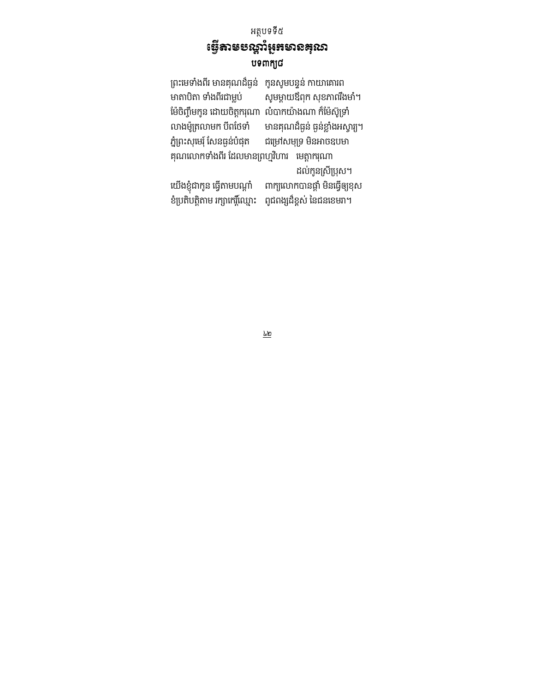### អត្ថបទទី៥ ទ្វើតាមបណ្តឹរំអួកមានគុណ បទពាក្យ៨

ព្រះមេទាំងពីរ មានគុណដ៏ធ្ងន់ កូនសូមបន្ទន់ កាយាគោរព<br> មាតាបិតា ទាំងពីរជាម្លប់ សូមម្ដាយឪពុក សុខភាពរឹង សូមម្ដាយឪពុក សុខភាពរឹងមាំ។ ម៉ៃចិញ្ចឹមកូន ដោយចិត្តករុណា លំបាកយ៉ាងណា ក៏ម៉ែស៊ូទ្រាំ លាងម៉ូត្រលាមក បីពថែទាំ មានគុណដ៏ធ្ងន់ ធ្ងន់ខ្លាំងអស្ចារ្យ។<br> ភ្នំព្រះសុមេរុំ សែនធ្ងន់បំផុត ជម្រៅសមុទ្រ មិនអាចឧបមា ជម្រៅសមុទ្រ មិនអាចឧបមា គុណលោកទាំងពីរ ដែលមានព្រហ្មវិហារ មេត្តាករុណា ដល់កូនស្រីប្រុស។ យើងខ្ញុំជាកូន ធ្វើតាមបណ្តាំ ពាក្យលោកបានផ្តាំ មិនធ្វើឲ្យខុស ខំប្រតិបត្តិតាម រក្សាកេរ្តិ៍ឈ្មោះ ពូជពង្សដ៏ខ្ពស់ នៃជនខេមរា។

 $\underline{\underline{\mathbf{k}}\underline{\mathbf{r}}}$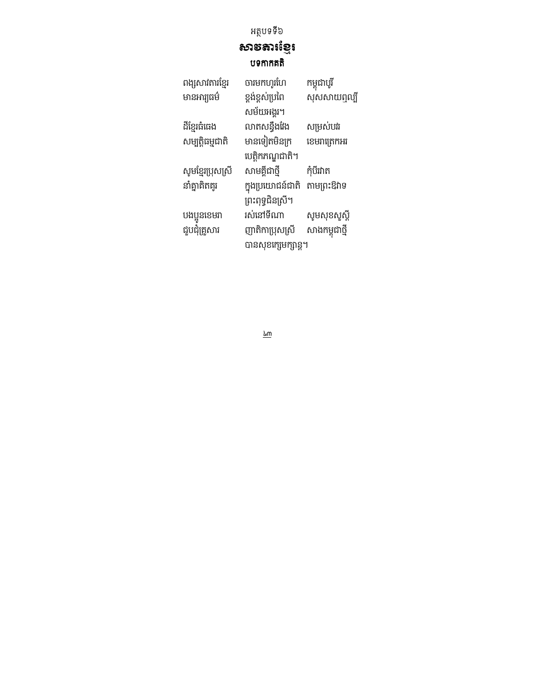### <sub>សា</sub>ទ័តារខ្មែរ បទកាកគតិ

| ពង្សសាវតារខ្មែរ   | ចារមកហូរហែ          | កម្ពុជាបូរី    |
|-------------------|---------------------|----------------|
| មានអារ្យធម៌       | ខ្ពង់ខ្ពស់ប្រពៃ     | សុសសាយឮល្បី    |
|                   | សម័យអង្គរ។          |                |
| ដីខ្មែរធំធេង      | លាតសន្ធឹងវែង        | សម្រស់បវរ      |
| សម្បត្តិធម្មជាតិ  | មានទៀតមិនក្រ        | ខេមរាត្រេកអរ   |
|                   | បេត្តិកភណ្ឌជាតិ។    |                |
| សូមខ្មែរប្រុសស្រី | សាមគ្គីជាថ្មី       | កុំបីរវាត      |
| នាំគ្នាគិតគូរ     | ក្នុងប្រយោជន៍ជាតិ   | តាមព្រះឱវាទ    |
|                   | ព្រះពុទ្ធជិនស្រី។   |                |
| បងប្អូនខេមរា      | រស់នៅទីណា           | សូមសុខសួស្តី   |
| ជួបជុំគ្រួសារ     | ញាតិកាប្រុសស្រី     | សាងកម្ពុជាថ្មី |
|                   | បានសុខក្សេមក្សាន្ត។ |                |
|                   |                     |                |

 $\underline{\underline{\mathbf{L}}\underline{\mathbf{m}}}$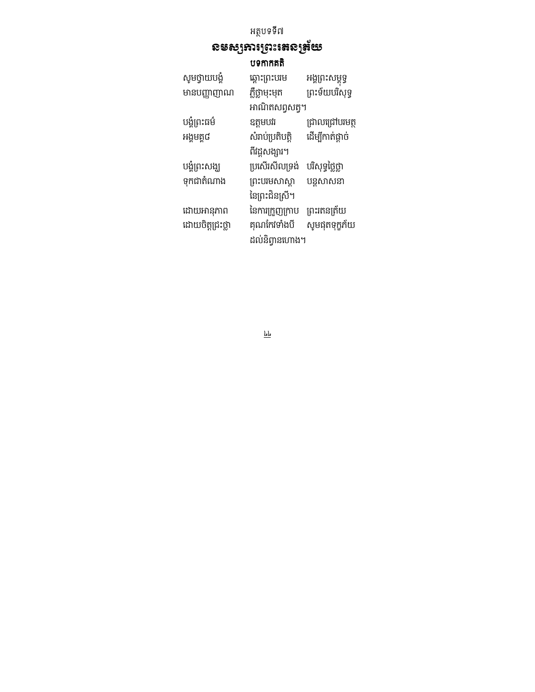# ឧមស្សឆារព្រះតេនត្រ័យ

បទកកគ

| សូមថ្វាយបង្គំ    | ឆ្ពោះព្រះបរម     | អង្គព្រះសម្ពុទ្ធ |
|------------------|------------------|------------------|
| មានបញ្ញាញាណ      | ភ្លឺថ្លាមុះមុត   | ព្រះទ័យបរិសុទ្ធ  |
|                  | អាណិតសព្វសត្វ។   |                  |
| បង្គំព្រះធម៌     | ឧត្តមបវរ         | ជ្រាលជ្រៅបរមត្ថ  |
| អង្គមគ្គ៨        | សំរាប់ប្រតិបត្តិ | ដើម្បីកាត់ផ្តាច់ |
|                  | ពីវដ្តសង្សារ។    |                  |
| បង្គំព្រះសង្ឃ    | ប្រសើរសីលទ្រង់   | បរិសុទ្ធថ្លៃថ្លា |
| ទុកជាតំណាង       | ព្រះបរមសាស្តា    | បន្តសាសនា        |
|                  | នៃព្រះជិនស្រី។   |                  |
| ដោយអានុភាព       | នៃការក្រួញក្រាប  | ព្រះរតនត្រ័យ     |
| ដោយចិត្តជ្រះថ្លា | គុណកែវទាំងបី     | សូមផុតទុក្ខភ័យ   |
|                  | ដល់និព្វានហោង។   |                  |

 $\underline{\underline{\mathbf{k}}}\underline{\underline{\mathbf{k}}}$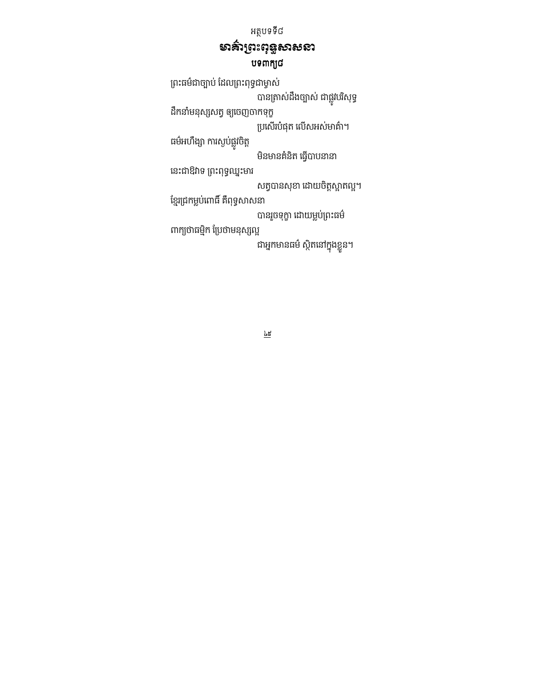### មាគ៌ាព្រះពុទ្ធសាសនា បទពាក្យ៨

ព្រះធម៌ជាច្បាប់ ដែលព្រះពុទ្ធជាម្ចាស់ បានត្រាស់ដងច្បាស់ ជាផ្លូវបរិសុទ្ធ ដឹកនាំមនុស្សសត្វ ឲ្យចេញចាកទុក្ខ ប្រសើរបំផុត លើសអស់មាគ៌ា។ ធមអហង្សា ការស្ងបផ្លូវចត្ត មិនមានគំនិត ធ្វើបាបនានា នេះជាឱវាទ ព្រះពុទ្ធឈ្នះមារ សត្វបានសុខា ដោយចិត្តស្អាតល្អ។ ខ្មែរជ្រកម្លប់ពោធិ៍ គឺពុទ្ធសាសនា បានរួចទុក្ខា ដោយម្លប់ព្រះធម៌ ពាក្យថាធម្មិក ប្រែថាមនុស្សល្អ ជាអ្នកមានធម៌ ស្ថិតនៅក្នុងខ្លួន។

 $\underline{\underline{h}}$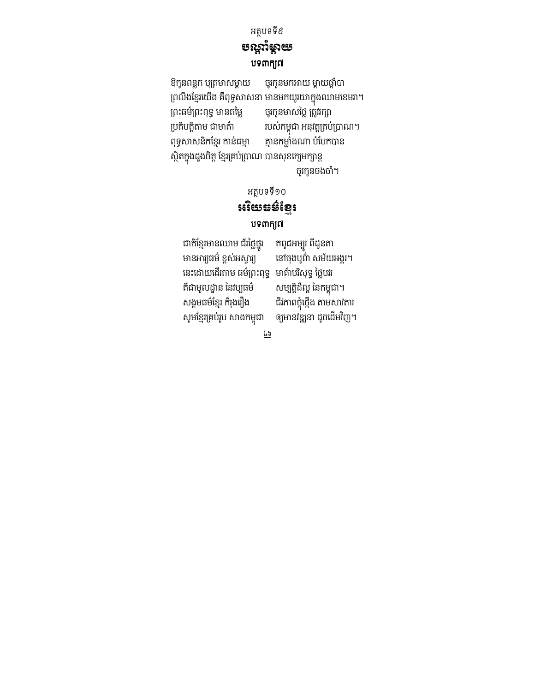#### អត្ថបទទី៩ ខណ្ឌុំម្ដាយ បទពាក្យ៧

ឱកូនពន្លក បុត្រមាសម្តាយ ចូរកូនមកអាយ ម្តាយផ្តាំបា ពMងZខម
យង គ^ពទធ2ន មនមកយយកនងឈម
ខម/# ចូរកូនមាសថ្លៃ ត្រូវរក្សា ប្រតិបត្តិតាម ជាមាគ៌ា របស់កម្ពុជា អនុវត្តគ្រប់ប្រាណ។ ពុទ្ធសាសនិកខ្មែរ កាន់ធម្មា គ្មានកម្លាំងណា បំបែកបាន ស្ថិតក្នុងដួងចិត្ត ខ្មែរគ្រប់ប្រាណ បានសុខក្សេមក្សាន្ត ចូរកូនចងចាំ។

### អត្ថបទទី១០ អរិយនន៍ខ្មែរ បទពាក្យព

ជាតិខ្មែរមានឈាម ជ័រថ្លៃថ្នូរ<br>មានអារ្យធម៌ ខ្ពស់អស្វារ្យ នេះដោយដើរតាម ធម៌ព្រះពុទ្ធ មាគ៌ាបរិសុទ្ធ ថ្លៃបវរ គឺជាមូលដ្ឋាន នៃវប្បធម៌ សង្គមធម៌ខ្មែរ ក៏រុងរឿង សូមខ្មែរគ្រប់រូប សាងកម្ពុជា

រ តពូជអម្បូរ ពីដូនតា នៅចុងបូ៣៌ សម័យអង្គរ។ សម្បត្តិដ៏ល្អ នៃកម្ពុជា។ ជីវភាពថ្កុំថ្កើង តាមសាវតារ ឲ្យមានវឌ្ឍនា ដូចដើមវិញ។

 $\overline{79}$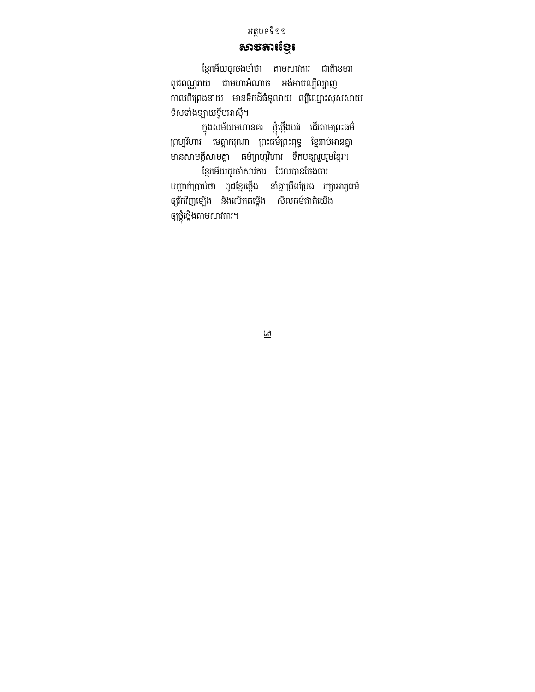### សាទតារខ្មែរ

ខ្មែរអើយចូរចងចាំថា តាមសាវតារ ជាតិខេមរា ពូជពណ្ណរាយ ជាមហាអំណាច អង់អាចល្បីល្បាញ កាលពីព្រេងនាយ មានទឹកដីធំទូលាយ ល្បីឈ្មោះសុសសាយ ទិសទាំងឡាយទ្វីបអាស៊ី។

ក្នុងសម័យមហានគរ ថ្កុថ្កេងបវរ ដេរតាមព្រះធម៌ ព្រហ្មវិហារ មេត្តាករុណា ព្រះធម៌់ព្រះពុទ្ធ ខ្មែររាប់អានគ្នា មានសាមគ្គីសាមគ្គា ធម៌ព្រហ្មវិហារ ទឹកបន្សារួបរួមខ្មែរ។ ខ្មែរអើយចូរចាំសាវតារ ដែលបានចែងចារ

បញ្ជាក់ប្រាប់ថា ពូជខ្មែរថ្កើង នាំគ្នាប្រឹងប្រែង រក្សាអារ្យធម៌ ឲ្យរីកវិញឡើង និងលើកតម្កើង សីលធម៌ជាតិយើង ឲ្យថ្កូថ្កេងតាមសារតារ។

 $\overline{\overline{\mathfrak{r}}\mathfrak{q}}$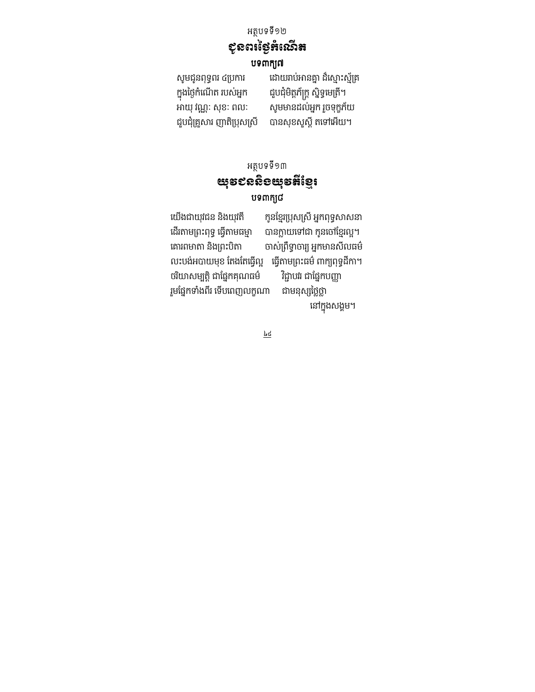# <u>ខ្</u>លួនពន្លឹងឈើន

#### បទពាក្យព

កនងថងក
! ប6នក ជ[បជម!<ភQក< ន ទធ
ម !#

សូមជូនពុទ្ធពរ ៤ប្រការ ដោយរាប់អានគ្នា ដ៏ស្មោះស្ម័គ្រ សូមមានដល់អ្នក រួចទុក្ខភ័យ ជួបជុំគ្រួសារ ញាតិប្រុសស្រី បានសុខសូស្តី តទៅអើយ។

> អត្ថបទទី១៣ <u>យ</u>ុខ៩សនិទយុខអីខ្មែរ បទពាក្យ៨

យើងជាយុវជន និងយុវតី ក្រុនខ្មែរប្រុសស្រី អ្នកពុទ្ធសាសនា ដើរតាមព្រះពុទ្ធ ធ្វើតាមធម្មា បានក្លាយទៅជា កូនចៅខ្មែរល្អ។ គោរពមាតា និងព្រះបិតា ចាស់ព្រឹទ្ធាចារ្យ អ្នកមានសីលធម៌ លះបង់អបាយមុខ តែងតែធ្វើល្អ ធ្វើតាមព្រះធម៌ ៣ក្យពុទ្ធដីកា។<br>ចរិយាសម្បត្តិ ជាផ្នែកគុណធម៌ វិជ្ជាបវរ ជាផ្នែកបញ្ញា ចរិយាសម្បត្តិ ជាផ្នែកគុណធម៌ រួមផ្នែកទាំងពីរ ទើបពេញលក្ខណា ជាមនុស្សថ្លៃថ្លា នៅក្នុងសង្គម។

 $\underline{\underline{\mathbf{k}}\underline{\mathbf{d}}}$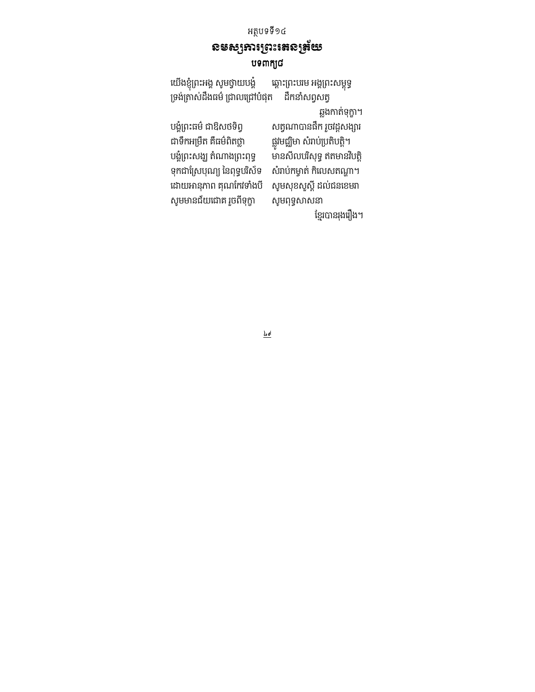### **ຂ**ອຣ<sub>ົ</sub>ງກາງຕະເສຂງສັບ បទពាក្យ៨

យើងខ្ញុំព្រះអង្គ សូមថ្វាយបង្គំ ឆ្ពោះព្រះបរម អង្គព្រះសម្ពុទ្ធ ទ្រង់ត្រាស់ដឹងធម៌ ជ្រាលជ្រៅបំផុត ដឹកនាំសព្វសត្វ ឆ្លងកាត់ទុក្ខា។ បង្ខំព្រះធម៌ ជាឱសថទិព្វ សត្វណាបានផឹក រួចវដ្តសង្សារ ជាទឹកអម្រឹត គឺធម៌ពិតថ្លា ផ្លូវមជ្ឈិមា សំរាប់ប្រតិបត្តិ។ បង្គំព្រះសង្ឃ តំណាងព្រះពុទ្ធ .<br>មានសីលបរិសុទ្ធ ឥតមានវិបត្តិ ទុកជាស្រែបុណ្យ នៃពុទ្ធបរិស័ទ សំរាប់កម្ចាត់ កិលេសតណ្ហា។ ដោយអានុភាព គុណកែវទាំងបី សូមសុខសួស្តី ដល់ជនខេមរា សូមមានជ័យជោគ រួចពីទុក្ខា សូមពុទ្ធសាសនា ខ្មែរបានរុងរឿង។

 $\underline{\underline{b}\cdot \underline{c}}$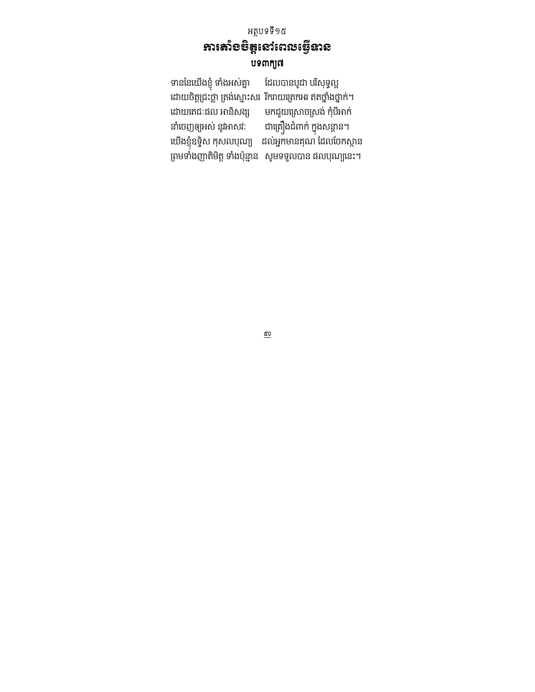### អត្ថបទទី១៥ អាងោះចិត្តនៅពេលធ្វើនាន បទពាក្យព

ទាននៃយើងខ្ញុំ ទាំងអស់គ្នា ដែលបានបូជា បរិសុទ្ធល្អ ដោយចិត្តជ្រះថ្លា ត្រង់ស្មោះសរ រីករាយត្រេកអរ ឥតថ្នាំងថ្នាក់។<br>ដោយតេជៈផល អានិសង្ស មកជួយស្រោចស្រង់ កុំបីអាក់ ដោយតេជៈផល អានសង្ស មកជួយស្រោចស្រង់ កុបអាក ន
ចញ%យ6 នR@R ជ
 គងជពក កនងន< ន# យើងខ្ញុំឧទ្ទិស កុសលបុណ្យ ដល់អ្នកមានគុណ ដែលចែកស្ថាន ពមទងញ!ម!< ទងបlនម ន មទទ[បន ផបយ
នG#

 $\underline{\mathbf{k}}\mathbf{0}$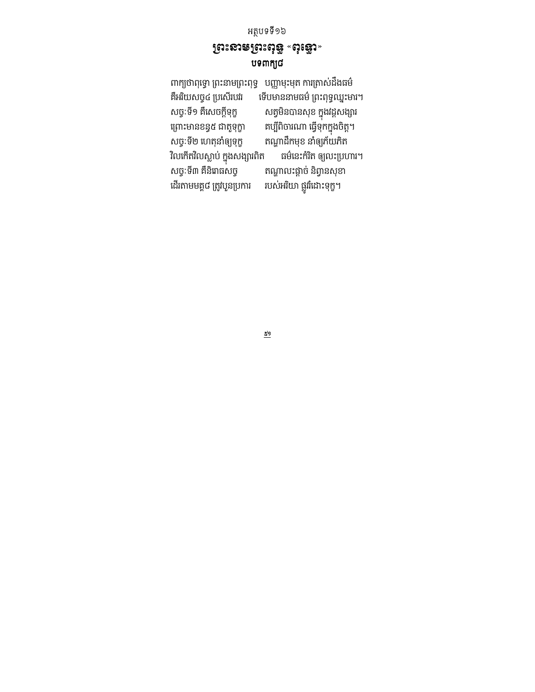#### ព្រះនាមព្រះពុន្ធ «ពុន្<u>ធ</u>ោ» បទពាក្យ៨

ពាក្យថាពុទ្ធោ ព្រះនាមព្រះពុទ្ធ បញ្ញាមុះមុត ការត្រាស់ដឹងធម៌ គឺអរិយសច្ច៤ ប្រសើរបវរ មើបមាននាមធម៌ ព្រះពុទ្ធឈ្នះមារ។ សច្ចៈទី១ គិសេចក្តីទុក្ខ សត្វមិនបានសុខ ក្នុងវដ្តសង្សារ ព្រោះមានខន្ធ៥ ជាតួទុក្ខា គប្បពចារណា ធ្វេទុកក្នុងចត្ត។ សច្ចៈទី២ ហេតុនាំឲ្យទុក្ខ តណ្ហាដឹកមុខ នាំឲ្យភ័យភិត<br>វិលកើតវិលស្លាប់ ក្នុងសង្សារពិត ធម៌នេះកំរិត ឲ្យលះប្រហារ។ R
ក !R2? ប កន ងងFព! ធមN
នGក! %យG បJ# តណ្ហាលះផ្តាច់ និព្វានសុខា ដើរតាមមគ្គ៨ ត្រូវបួនប្រការ របស់អរិយា ផ្លូវរំដោះទុក្ខ។

 $\underline{t^9}$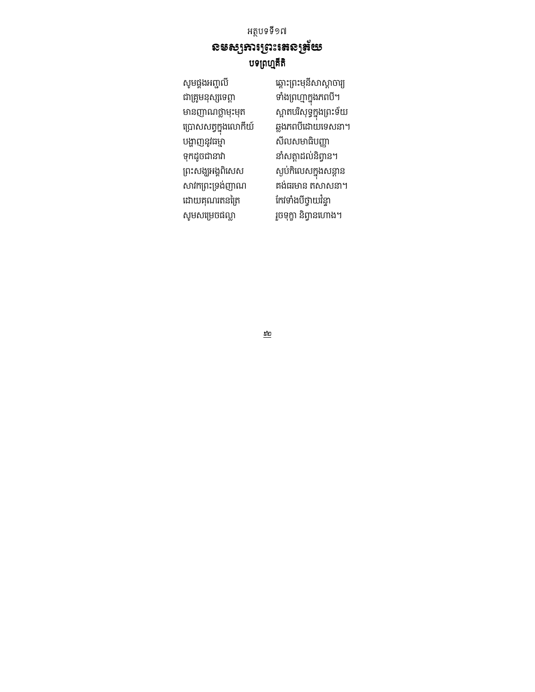សូមផ្គងអញ្ជលី ឆ្ពោះព្រះមុនីសាស្តាចារ្យ ជ គeមន 
ទព< ទង ពJម កនងភពប# ប្រោសសត្វក្នុងលោកីយ៍<br>បង្ហាញនូវធម្មា ទក'ចជនx ន< 'នព7 ន# ព្រះសង្ឃអង្គពិសេស ស្ងប់កិលេសក្នុងសន្តាន<br>សាវកព្រះទ្រង់ញាណ គង់ធរមាន តសាសនា។ ដោយគុណរតនត្រៃ កែវទាំងបីថ្វាយវិន្ទា

ស្អាតបរិសុទ្ធក្នុងព្រះទ័យ<br>ឆ្លងភពបីដោយទេសនា។ សីលសមាធិបញ្ញា គង់ធរមាន តសាសនា។ សូមសម្រេចផល្លា រួចទុក្ខា និព្វានហោង។

 $\underline{t}$ 

#### អត្ថបទទី១៧ ឧមស្សឆារព្រះរតនត្រ័យ បទព្រហ្មគីតិ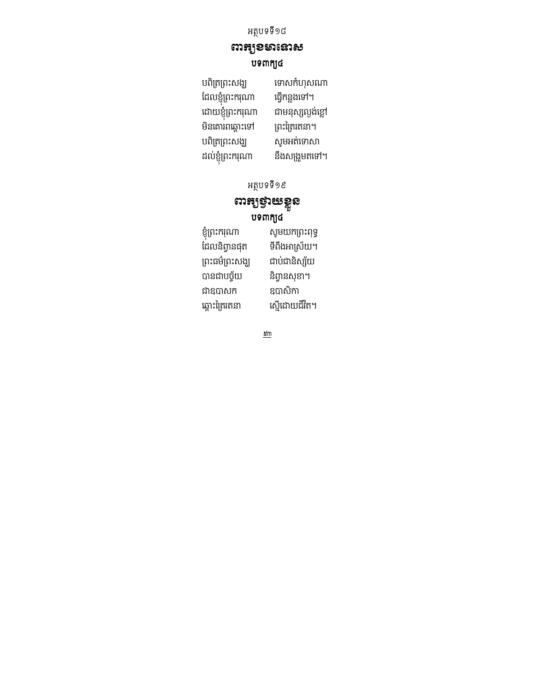ឍអូខទានោស បទពាក្យ៤

បពិត្រព្រះសង្ឃ ទោសកំហុសណា ដែលខ្ញុំព្រះករុណា ធ្វើកន្លងទៅ។ ដោយខ្ញុំព្រះករុណា ជាមនុស្សល្ងង់ខ្លៅ មិនគោរពឆ្ពោះទៅ ព្រះត្រៃរតនា។<br>បពិត្រព្រះសង្ឃ សូមអត់ទោសា បពិត្រព្រះសង្ឃ ដល់ខ្ញុំព្រះករុណា នឹងសង្រួមតទៅ។

អត្ថបទទី១៩

### យដនៃអូនាន់ម៉ បទពាក្យ៤

| ខ្ញុំព្រះករុណា  | សូមយកព្រះពុទ្ធ |
|-----------------|----------------|
| ដែលនិព្វានផុត   | ទីពឹងអាស្រ័យ។  |
| ព្រះធម៌ព្រះសង្ឃ | ជាប់ជានិស្ស័យ  |
| បានជាបច្ច័យ     | និព្វានសុខា។   |
| ជាឧបាសក         | ឧបាសិកា        |
| ឆ្ពោះត្រៃរតនា   | ស្ទើដោយជីវិត។  |
|                 |                |

 $\underline{\mathcal{E}}\underline{\mathsf{m}}$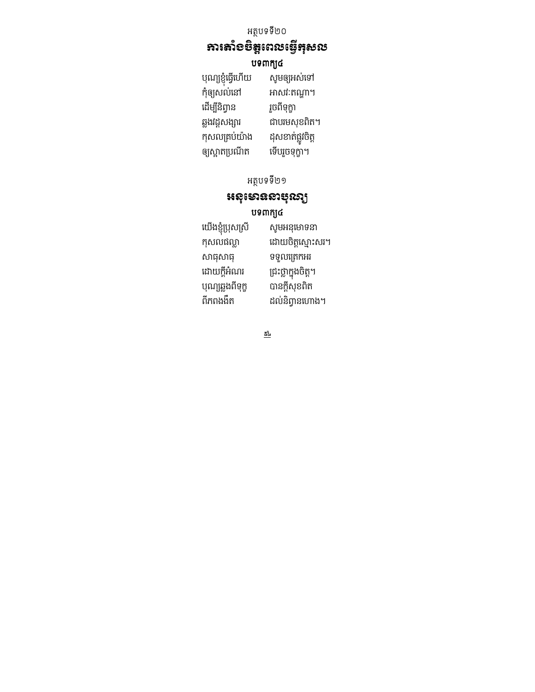#### អាងមេនីលេចខ្លែងទល

#### បទពាក្យ៤

| បុណ្យខ្ញុំធ្វើហើយ | សូមឲ្យអស់ទៅ       |
|-------------------|-------------------|
| កុំឲ្យសល់នៅ       | អាសវៈតណ្ហា។       |
| ដើម្បីនិព្វាន     | រួចពីទុក្ខា       |
| ឆ្លងវដ្តសង្សារ    | ជាបរមសុខពិត។      |
| កុសលគ្រប់យ៉ាង     | ដុសខាត់ផ្លូវចិត្ត |
| ឲ្យស្អាតប្រណីត    | ទើបរួចទុក្ខា។     |

### អត្ថបទទី២១

### អនុមោទនាន់រចៀ បទពាក្យ៤

| យើងខ្ញុំប្រុសស្រី | សូមអនុមោទនា         |
|-------------------|---------------------|
| កុសលផល្លា         | ដោយចិត្តស្មោះសរ។    |
| សាធុសាធុ          | ទទួលគ្រេកអរ         |
| ដោយក្តីអំណរ       | ជ្រះថ្លាក្នុងចិត្ត។ |
| បុណ្យឆ្លងពីទុក្ខ  | បានក្តីសុខពិត       |
| ពីភពងងឹត          | ដល់និព្វានហោង។      |
|                   |                     |

 $\frac{\mathcal{L}l_{s}}{s}$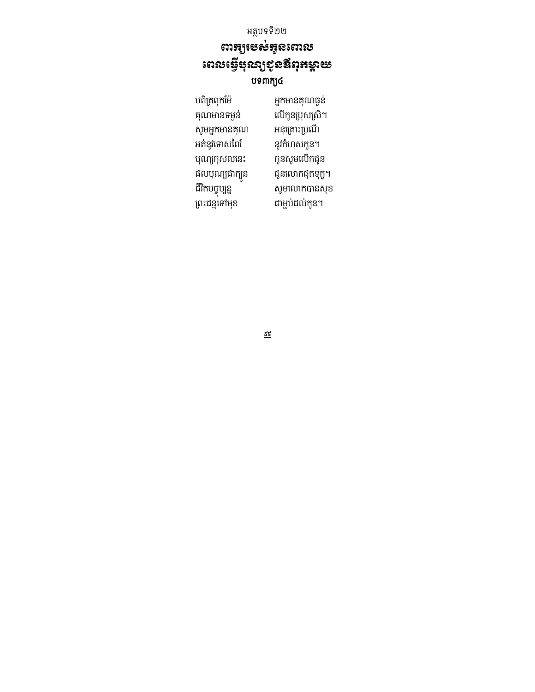អត្ថបទទី២២ **ពារក្សា**ទីសំគូនពោល យោះស្ថិតខ្លួនខ្លួមខេ បទពាក្យ៤

 បព !ពកZមl 6នកមនគធងន សូមអ្នកមានគុណ អនុគ្រោះប្រណី<br>អត់នូវទោសពៃរ៍ នូវកំហុសកូន។ អត់នូវទោសពៃរ៍ បុណ្យកុសលនេះ កូនសូមលើកជូន ផលបុណ្យជាក្បួន ជR!បចច បបនន ម
"កបនខ ព្រះជន្មទៅមុខ

លើកូនប្រុសស្រី។<br>អនុគ្រោះប្រណី ជូនលោកផុតទុក្ខ។

 $\underline{\underline{\kappa}}\underline{\underline{\kappa}}$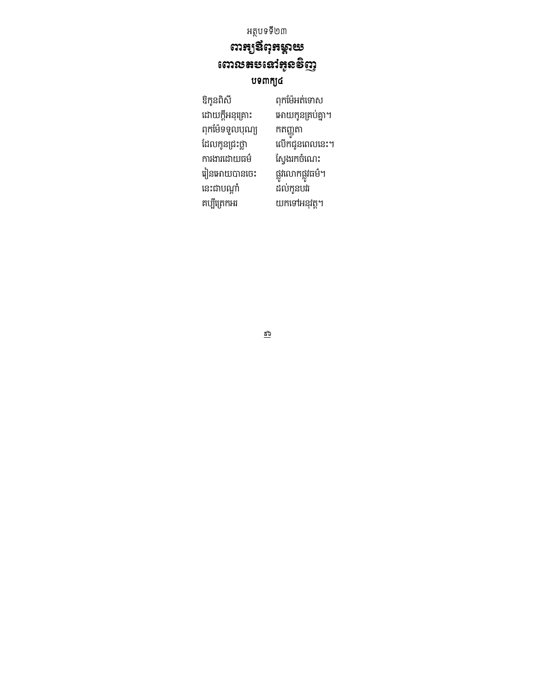# យាងថ្លៃងៃនឹង **ពោលតបនៅ**អ៊ូនទិញ

#### បទពាក្យ៤

| ឱកូនពិសី        | ពុកម៉ែអត់ទោស      |
|-----------------|-------------------|
| ដោយក្តីអនុគ្រោះ | អោយកូនគ្រប់គ្នា'  |
| ពុកម៉ែទទួលបុណ្យ | កតញ្ញុតា          |
| ដែលកូនជ្រះថ្លា  | លើកជូនពេលនេះ      |
| ការងារដោយធម៌    | ស្វែងរកចំណេះ      |
| រៀនអោយបានចេះ    | ផ្លូវលោកផ្លូវធម៌។ |
| នេះជាបណ្តាំ     | ដល់កូនបវរ         |
| គប្បីព្រេកអរ    | យកទៅអនុវត្ត។      |
|                 |                   |

.<br>អោយកូនគ្រប់គ្នា។ កតញ្ញូតា លើកជូនពេលនេះ។ ស្វែងរកចំណេះ ន័ល់កូនបរំរ

 $\underline{t^3}$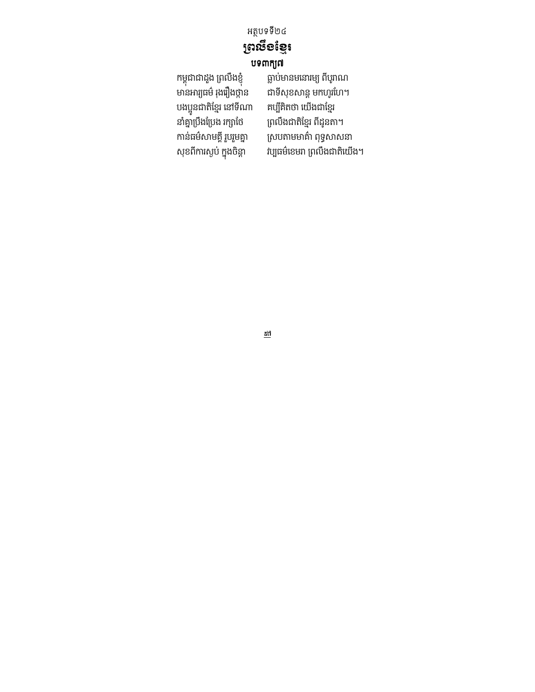# ព្រះថ្នុខខែ្មរ

#### បទពាក្យ៧

កម្ពុជាជាដួង ព្រលិងខ្ញុំ បងប្អូនជាតិខ្មែរ នៅទីណា<br>នាំគ្នាប្រឹងប្រែង រក្សាថៃ នាំគ្នាប្រឹងប្រែង រក្សាថៃ ព្រលឹងជាតិខ្មែរ ពីដូនតា។<br>កាន់ធម៌សាមគ្គី រួបរួមគ្នា ស្របតាមមាគ៌ា ពុទ្ធសាស៖ កាន់ធម៌សាមគ្គី រួបរួមគ្នា ស្របតាមមាគ៌ា ពុទ្ធសាសនា<br>សុខពីការស្ងប់ ក្នុងចិន្តា វប្បធម៌ខេមរា ព្រលឹងជាតិយើរ

ធ្លាប់មានមនោរម្យ ពីបូរាណ ជាទីសុខសាន្ត មកហូរហែ។<br>គប្បីគិតថា យើងជាខ្មែរ វប្បធម៌ខេមរា ព្រលឹងជាតិយើង។

 $\frac{\mathcal{H}}{\mathcal{S}}$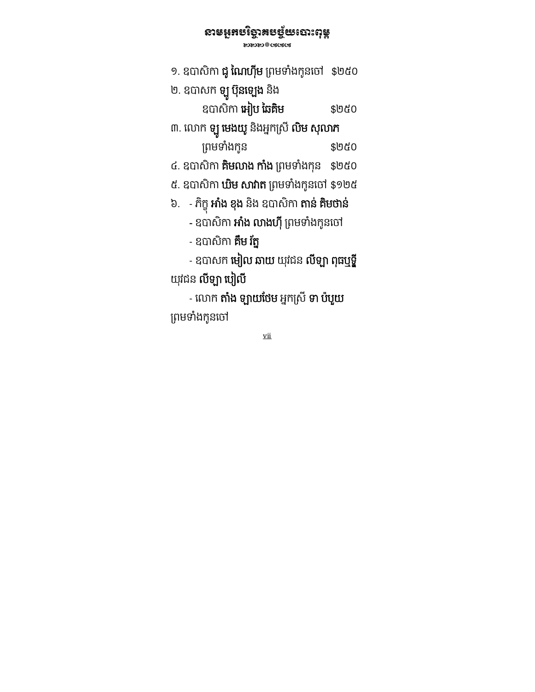### នានអំមេរ្មព័ន្ធមេសេរីប៉ង

**ENDING** CALCALLY

- ១. ឧបាសកា **ជូ ណេហុម** ព្រមទាងកូនចោ \$២៥០
- ២. ខបាសក **ឡូ បុនឡេង** នង

ឧបសិ ក េអៀប ៃឆគមិ \$២៥០

៣. លោក **ឡូ មេងយូ** នងអ្នកស្រ **លម សុលាភ** ្រពមទងកំ ូន \$២៥០

៤. ឧបាសិកា **គមលាង កាង** ព្រមទាងកុន \$២៥០

- ៥. ឧបាសកា **ឃម សារាត** ព្រមទាងកូនចោ \$១២៥
- ៦. - ភក្ខុ **អាង ខុង** នង ឧបាសកា **តាន គមចាន**
- ឧបាសកា **អាង លាងហុ** ព្រមទាងកូនចោ
- ឧបាសកា **គម រក្ន**

 - ឧបសក េមៀល ឆយ យុវជន លី ǔ ពុធឬទី្ឌ យុវជន **លឡា ប្បល** 

- លោក **តាំង ឡាយថែម** អ្នកស្រី **ទា ប៉បួយ** ព្រមទាំងកូនចៅ

vii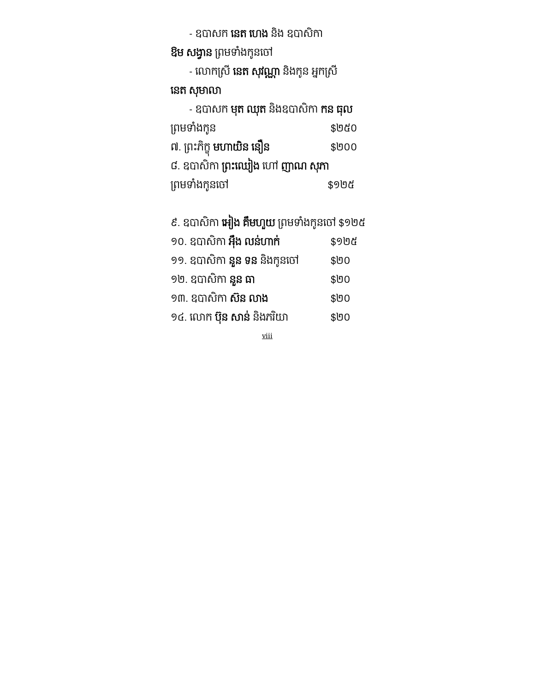- ឧបាសក **នេត ហេង** និង ឧបាសកា

<mark>ឱម សង្វាន</mark> ព្រមទាំងកូនចៅ

- លោកស្រ **នេត សុវណ្ណា** នងកូន អ្នកស្រ

### នេត សុមាលា

| - ឧបាសក <b>មុត ឈុត</b> និងឧបាសិកា <b>កន ធុល</b> |       |  |
|-------------------------------------------------|-------|--|
| ព្រមទាំងកូន                                     | \$២៥០ |  |
| ៧. ព្រះភិក្ខុ <b>មហាយិន នឿន</b>                 | \$000 |  |
| ៨. ឧបាសិកា <b>ព្រះឈៀង</b> ហៅ <b>ញាណ សុភា</b>    |       |  |
| ព្រមទាំងកូនចៅ                                   | \$9២៥ |  |

៩. ឧបាសិកា **អៀង គមហួយ** ព្រមទាងកូនថោ \$១២៥

| ១០. ឧបាសិកា <b>អ៊ឹង លន់ហាក់</b>    | \$9២៥ |
|------------------------------------|-------|
| ១១. ឧបាសិកា <b>នួន ទន</b> និងកូនចៅ | \$00  |
| ១២. ឧបាសិកា <b>នួន ធា</b>          | \$00  |
| ១៣. ឧបាសិកា <b>ស៊ន លាង</b>         | \$00  |
| ១៤. លោក <b>ប៊ុន សាន់</b> និងភរិយា  | \$00  |

viii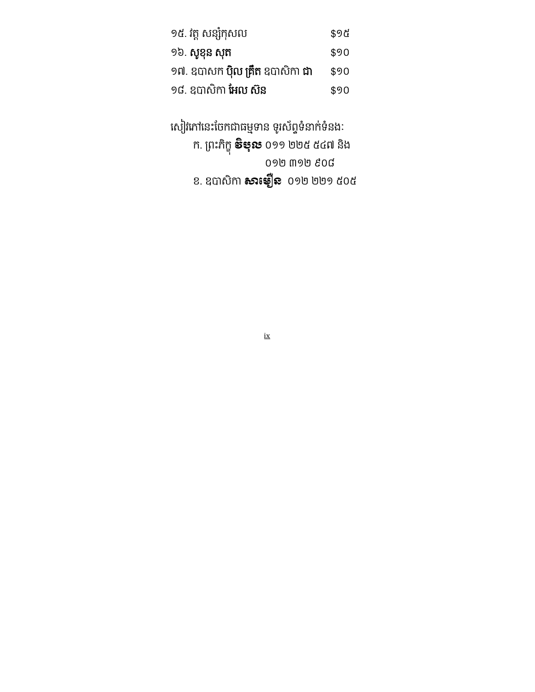| ១៥. វត្ត សន្សំកុសល                            | \$9 G |
|-----------------------------------------------|-------|
| ១៦. សូខុន សុត                                 | \$90  |
| ១៧. ឧបាសក <b>ប៉ិល គ្រឹត</b> ឧបាសិកា <b>ជា</b> | \$90  |
| ១៨. ឧបាសិកា <b>អែល ស៊ន</b>                    | \$90  |

សៀវភៅនេះចែកជាធម្មទាន ទូរស័ព្ធទំនាក់ទំនងៈ ក. ព្រះភក្ខុ **ទីឪុរិន** ០១១ ២២៥ ៥៤៧ នង ០១២ ៣១២ ៩០៨ ខ. ឧបាសកា **សារៈម្យួន** ០១២ ២២១ ៥០៥

ix